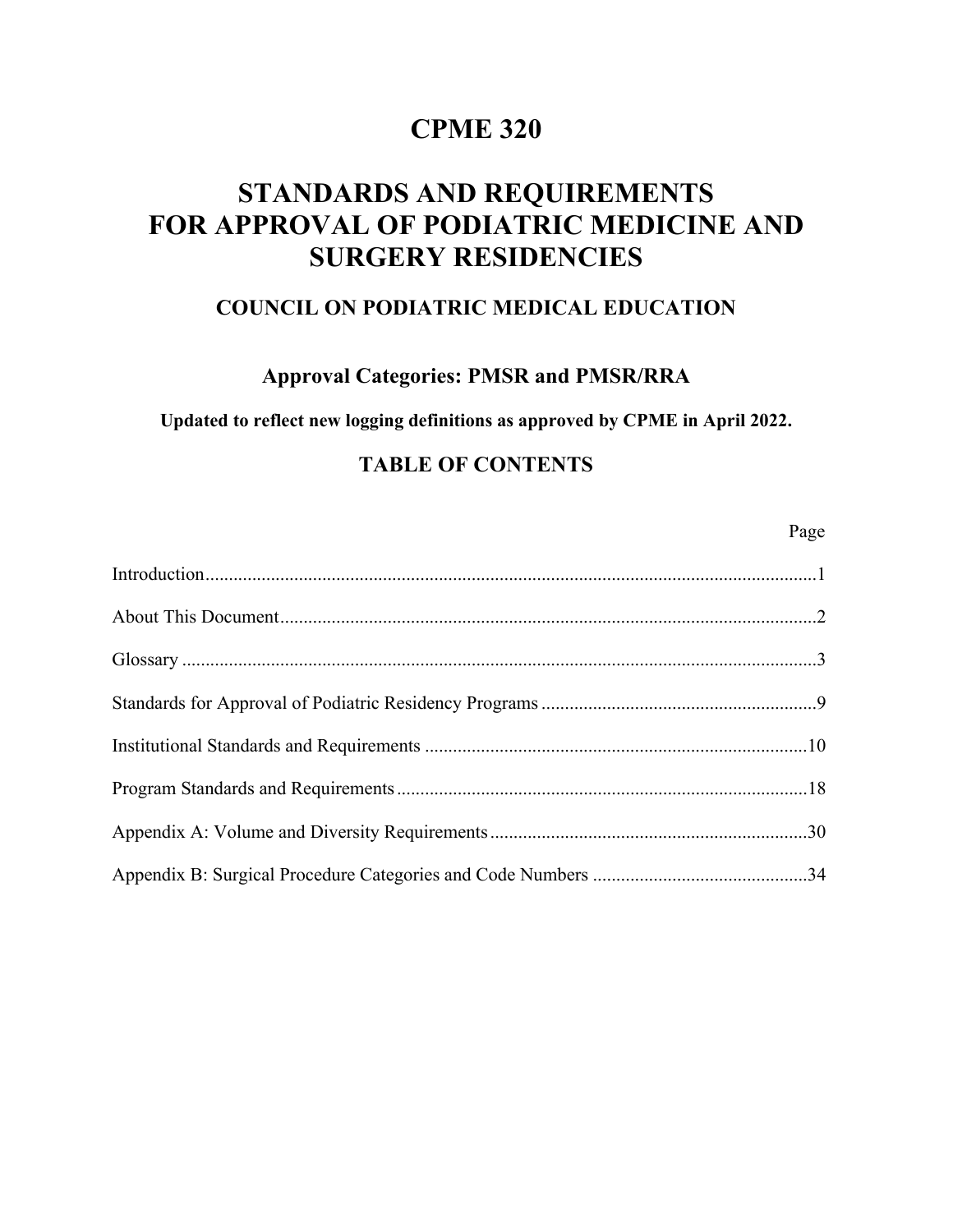# **CPME 320**

# **STANDARDS AND REQUIREMENTS FOR APPROVAL OF PODIATRIC MEDICINE AND SURGERY RESIDENCIES**

### **COUNCIL ON PODIATRIC MEDICAL EDUCATION**

### **Approval Categories: PMSR and PMSR/RRA**

**Updated to reflect new logging definitions as approved by CPME in April 2022.** 

## **TABLE OF CONTENTS**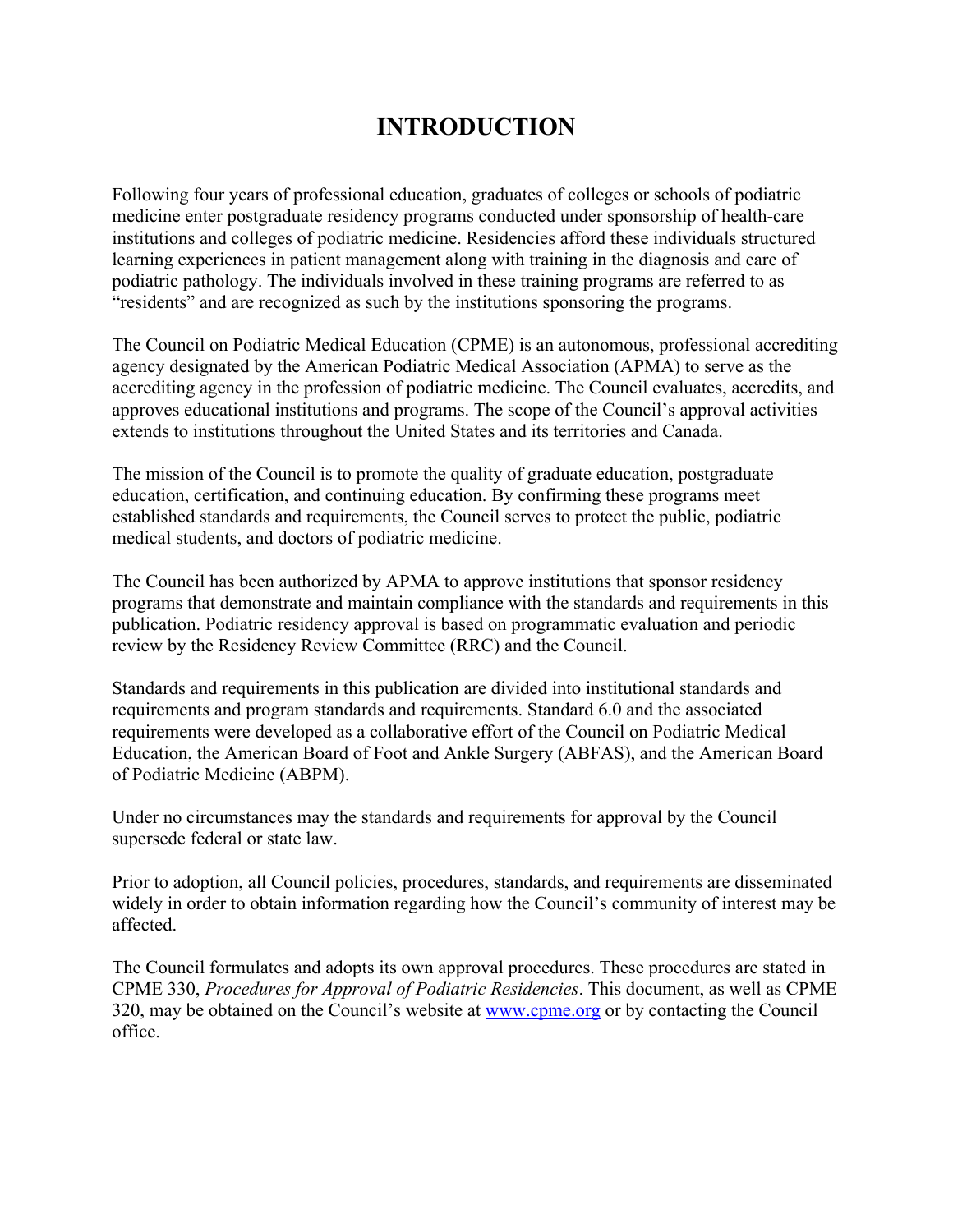# **INTRODUCTION**

Following four years of professional education, graduates of colleges or schools of podiatric medicine enter postgraduate residency programs conducted under sponsorship of health-care institutions and colleges of podiatric medicine. Residencies afford these individuals structured learning experiences in patient management along with training in the diagnosis and care of podiatric pathology. The individuals involved in these training programs are referred to as "residents" and are recognized as such by the institutions sponsoring the programs.

The Council on Podiatric Medical Education (CPME) is an autonomous, professional accrediting agency designated by the American Podiatric Medical Association (APMA) to serve as the accrediting agency in the profession of podiatric medicine. The Council evaluates, accredits, and approves educational institutions and programs. The scope of the Council's approval activities extends to institutions throughout the United States and its territories and Canada.

The mission of the Council is to promote the quality of graduate education, postgraduate education, certification, and continuing education. By confirming these programs meet established standards and requirements, the Council serves to protect the public, podiatric medical students, and doctors of podiatric medicine.

The Council has been authorized by APMA to approve institutions that sponsor residency programs that demonstrate and maintain compliance with the standards and requirements in this publication. Podiatric residency approval is based on programmatic evaluation and periodic review by the Residency Review Committee (RRC) and the Council.

Standards and requirements in this publication are divided into institutional standards and requirements and program standards and requirements. Standard 6.0 and the associated requirements were developed as a collaborative effort of the Council on Podiatric Medical Education, the American Board of Foot and Ankle Surgery (ABFAS), and the American Board of Podiatric Medicine (ABPM).

Under no circumstances may the standards and requirements for approval by the Council supersede federal or state law.

Prior to adoption, all Council policies, procedures, standards, and requirements are disseminated widely in order to obtain information regarding how the Council's community of interest may be affected.

The Council formulates and adopts its own approval procedures. These procedures are stated in CPME 330, *Procedures for Approval of Podiatric Residencies*. This document, as well as CPME 320, may be obtained on the Council's website at www.cpme.org or by contacting the Council office.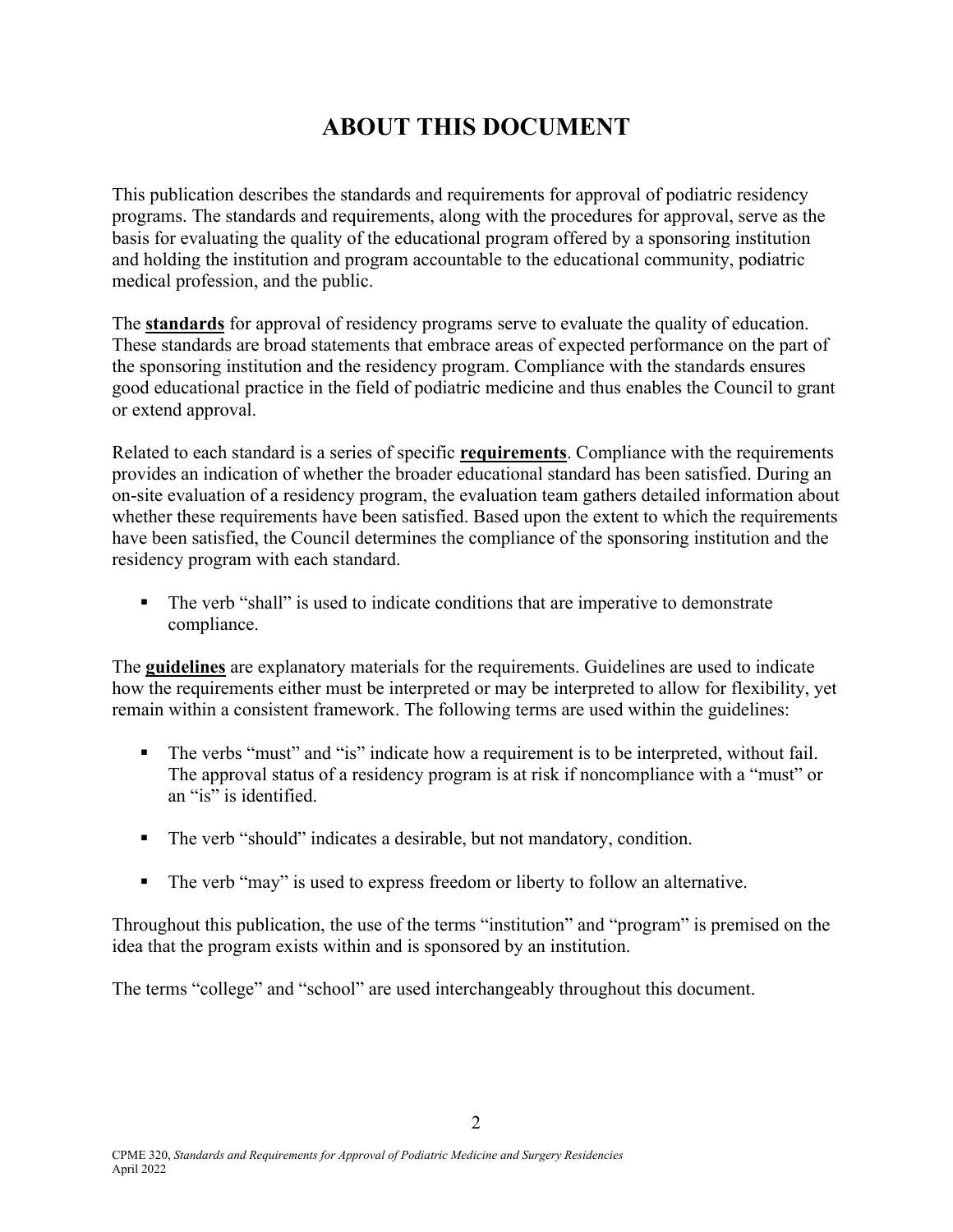# **ABOUT THIS DOCUMENT**

This publication describes the standards and requirements for approval of podiatric residency programs. The standards and requirements, along with the procedures for approval, serve as the basis for evaluating the quality of the educational program offered by a sponsoring institution and holding the institution and program accountable to the educational community, podiatric medical profession, and the public.

The **standards** for approval of residency programs serve to evaluate the quality of education. These standards are broad statements that embrace areas of expected performance on the part of the sponsoring institution and the residency program. Compliance with the standards ensures good educational practice in the field of podiatric medicine and thus enables the Council to grant or extend approval.

Related to each standard is a series of specific **requirements**. Compliance with the requirements provides an indication of whether the broader educational standard has been satisfied. During an on-site evaluation of a residency program, the evaluation team gathers detailed information about whether these requirements have been satisfied. Based upon the extent to which the requirements have been satisfied, the Council determines the compliance of the sponsoring institution and the residency program with each standard.

 The verb "shall" is used to indicate conditions that are imperative to demonstrate compliance.

The **guidelines** are explanatory materials for the requirements. Guidelines are used to indicate how the requirements either must be interpreted or may be interpreted to allow for flexibility, yet remain within a consistent framework. The following terms are used within the guidelines:

- The verbs "must" and "is" indicate how a requirement is to be interpreted, without fail. The approval status of a residency program is at risk if noncompliance with a "must" or an "is" is identified.
- The verb "should" indicates a desirable, but not mandatory, condition.
- The verb "may" is used to express freedom or liberty to follow an alternative.

Throughout this publication, the use of the terms "institution" and "program" is premised on the idea that the program exists within and is sponsored by an institution.

The terms "college" and "school" are used interchangeably throughout this document.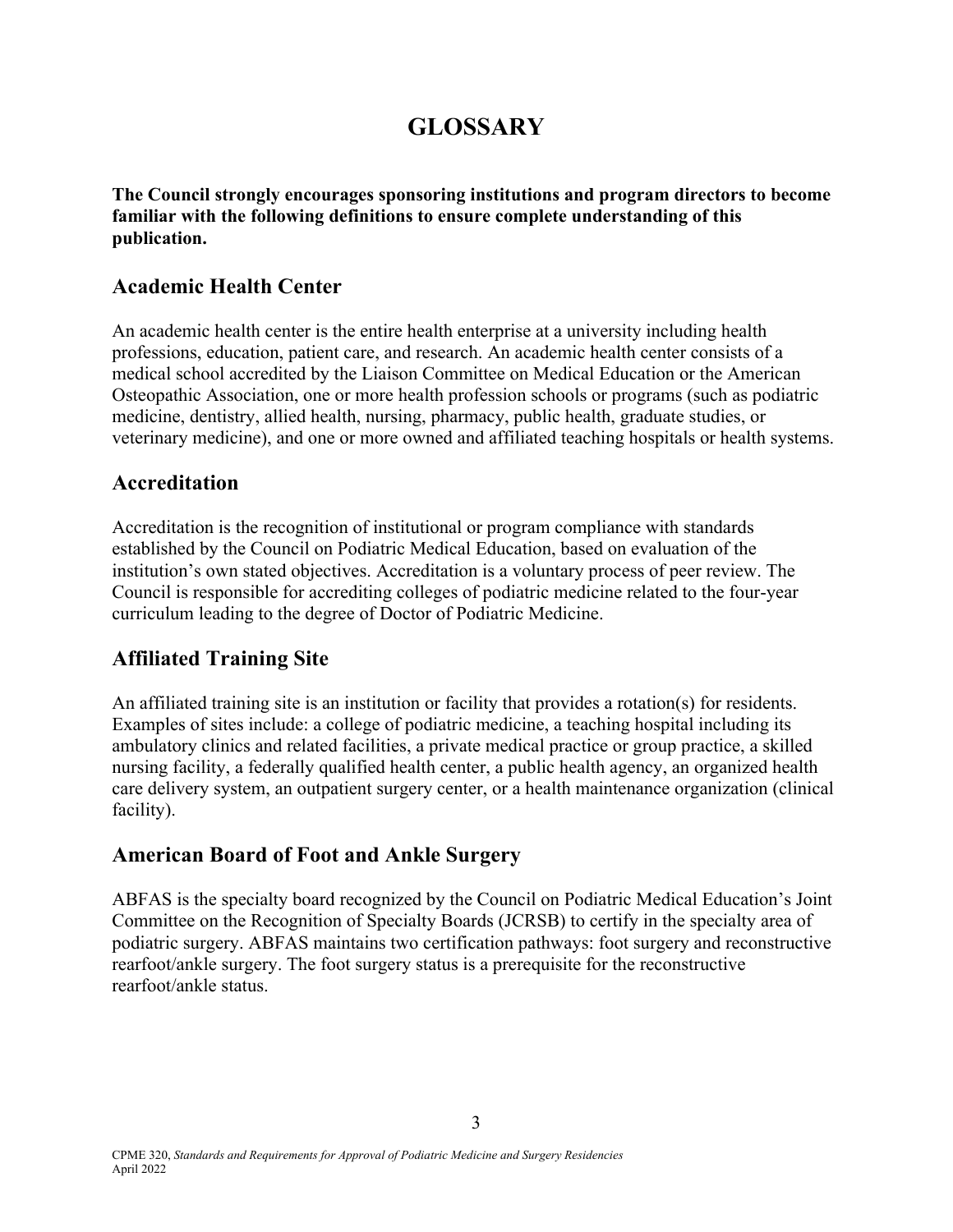# **GLOSSARY**

**The Council strongly encourages sponsoring institutions and program directors to become familiar with the following definitions to ensure complete understanding of this publication.** 

### **Academic Health Center**

An academic health center is the entire health enterprise at a university including health professions, education, patient care, and research. An academic health center consists of a medical school accredited by the Liaison Committee on Medical Education or the American Osteopathic Association, one or more health profession schools or programs (such as podiatric medicine, dentistry, allied health, nursing, pharmacy, public health, graduate studies, or veterinary medicine), and one or more owned and affiliated teaching hospitals or health systems.

### **Accreditation**

Accreditation is the recognition of institutional or program compliance with standards established by the Council on Podiatric Medical Education, based on evaluation of the institution's own stated objectives. Accreditation is a voluntary process of peer review. The Council is responsible for accrediting colleges of podiatric medicine related to the four-year curriculum leading to the degree of Doctor of Podiatric Medicine.

## **Affiliated Training Site**

An affiliated training site is an institution or facility that provides a rotation(s) for residents. Examples of sites include: a college of podiatric medicine, a teaching hospital including its ambulatory clinics and related facilities, a private medical practice or group practice, a skilled nursing facility, a federally qualified health center, a public health agency, an organized health care delivery system, an outpatient surgery center, or a health maintenance organization (clinical facility).

### **American Board of Foot and Ankle Surgery**

ABFAS is the specialty board recognized by the Council on Podiatric Medical Education's Joint Committee on the Recognition of Specialty Boards (JCRSB) to certify in the specialty area of podiatric surgery. ABFAS maintains two certification pathways: foot surgery and reconstructive rearfoot/ankle surgery. The foot surgery status is a prerequisite for the reconstructive rearfoot/ankle status.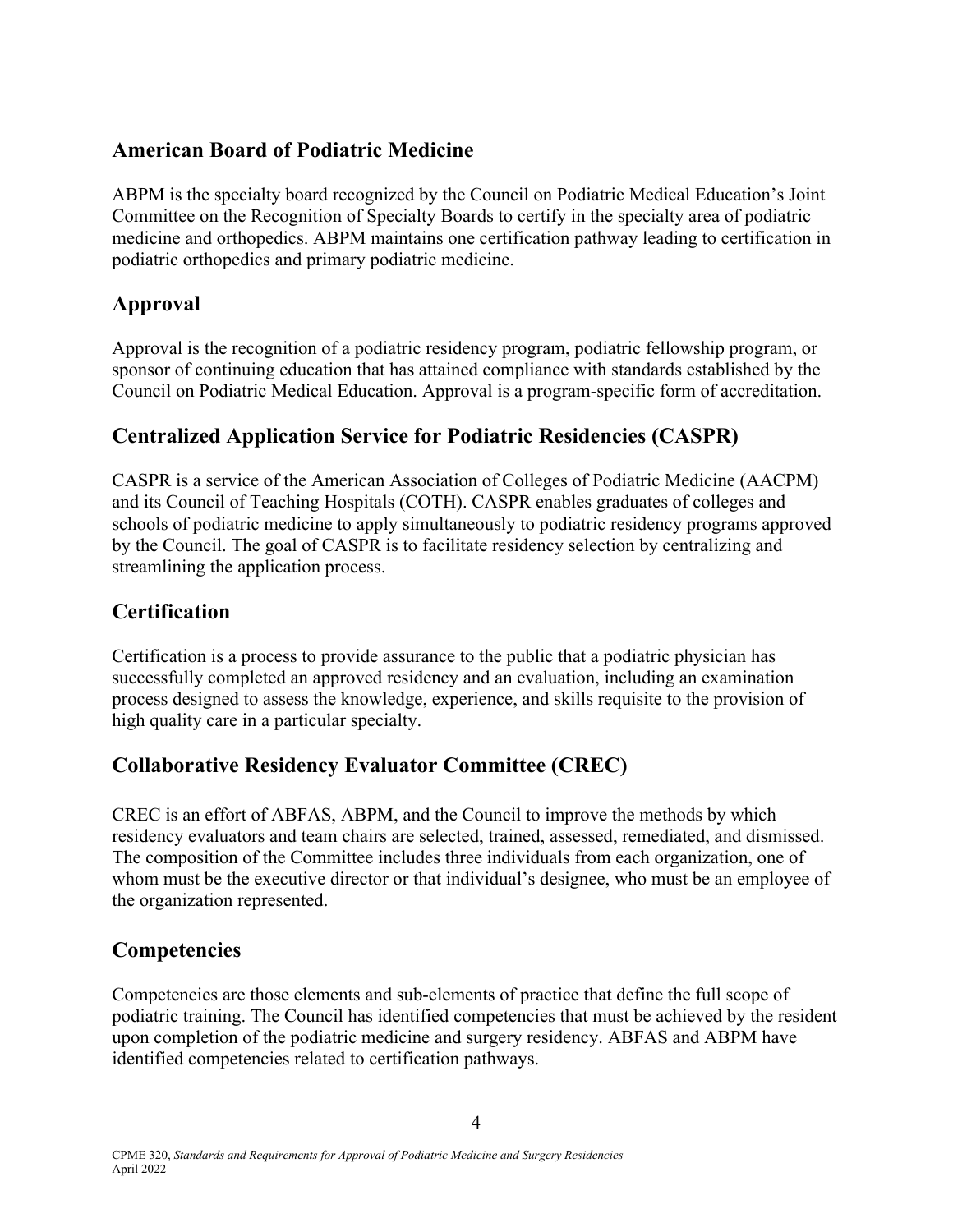### **American Board of Podiatric Medicine**

ABPM is the specialty board recognized by the Council on Podiatric Medical Education's Joint Committee on the Recognition of Specialty Boards to certify in the specialty area of podiatric medicine and orthopedics. ABPM maintains one certification pathway leading to certification in podiatric orthopedics and primary podiatric medicine.

## **Approval**

Approval is the recognition of a podiatric residency program, podiatric fellowship program, or sponsor of continuing education that has attained compliance with standards established by the Council on Podiatric Medical Education. Approval is a program-specific form of accreditation.

## **Centralized Application Service for Podiatric Residencies (CASPR)**

CASPR is a service of the American Association of Colleges of Podiatric Medicine (AACPM) and its Council of Teaching Hospitals (COTH). CASPR enables graduates of colleges and schools of podiatric medicine to apply simultaneously to podiatric residency programs approved by the Council. The goal of CASPR is to facilitate residency selection by centralizing and streamlining the application process.

## **Certification**

Certification is a process to provide assurance to the public that a podiatric physician has successfully completed an approved residency and an evaluation, including an examination process designed to assess the knowledge, experience, and skills requisite to the provision of high quality care in a particular specialty.

# **Collaborative Residency Evaluator Committee (CREC)**

CREC is an effort of ABFAS, ABPM, and the Council to improve the methods by which residency evaluators and team chairs are selected, trained, assessed, remediated, and dismissed. The composition of the Committee includes three individuals from each organization, one of whom must be the executive director or that individual's designee, who must be an employee of the organization represented.

## **Competencies**

Competencies are those elements and sub-elements of practice that define the full scope of podiatric training. The Council has identified competencies that must be achieved by the resident upon completion of the podiatric medicine and surgery residency. ABFAS and ABPM have identified competencies related to certification pathways.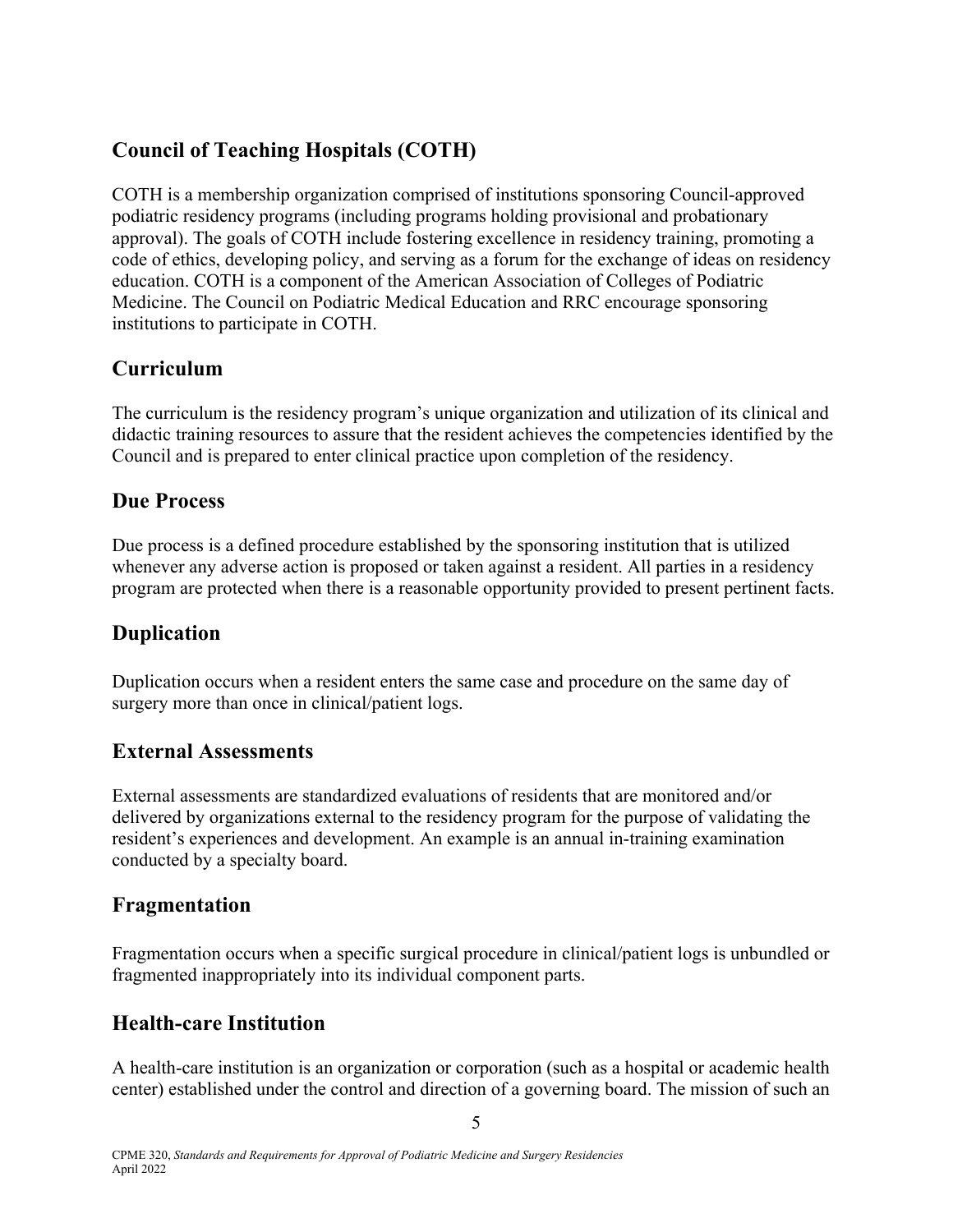# **Council of Teaching Hospitals (COTH)**

COTH is a membership organization comprised of institutions sponsoring Council-approved podiatric residency programs (including programs holding provisional and probationary approval). The goals of COTH include fostering excellence in residency training, promoting a code of ethics, developing policy, and serving as a forum for the exchange of ideas on residency education. COTH is a component of the American Association of Colleges of Podiatric Medicine. The Council on Podiatric Medical Education and RRC encourage sponsoring institutions to participate in COTH.

## **Curriculum**

The curriculum is the residency program's unique organization and utilization of its clinical and didactic training resources to assure that the resident achieves the competencies identified by the Council and is prepared to enter clinical practice upon completion of the residency.

### **Due Process**

Due process is a defined procedure established by the sponsoring institution that is utilized whenever any adverse action is proposed or taken against a resident. All parties in a residency program are protected when there is a reasonable opportunity provided to present pertinent facts.

### **Duplication**

Duplication occurs when a resident enters the same case and procedure on the same day of surgery more than once in clinical/patient logs.

### **External Assessments**

External assessments are standardized evaluations of residents that are monitored and/or delivered by organizations external to the residency program for the purpose of validating the resident's experiences and development. An example is an annual in-training examination conducted by a specialty board.

### **Fragmentation**

Fragmentation occurs when a specific surgical procedure in clinical/patient logs is unbundled or fragmented inappropriately into its individual component parts.

## **Health-care Institution**

A health-care institution is an organization or corporation (such as a hospital or academic health center) established under the control and direction of a governing board. The mission of such an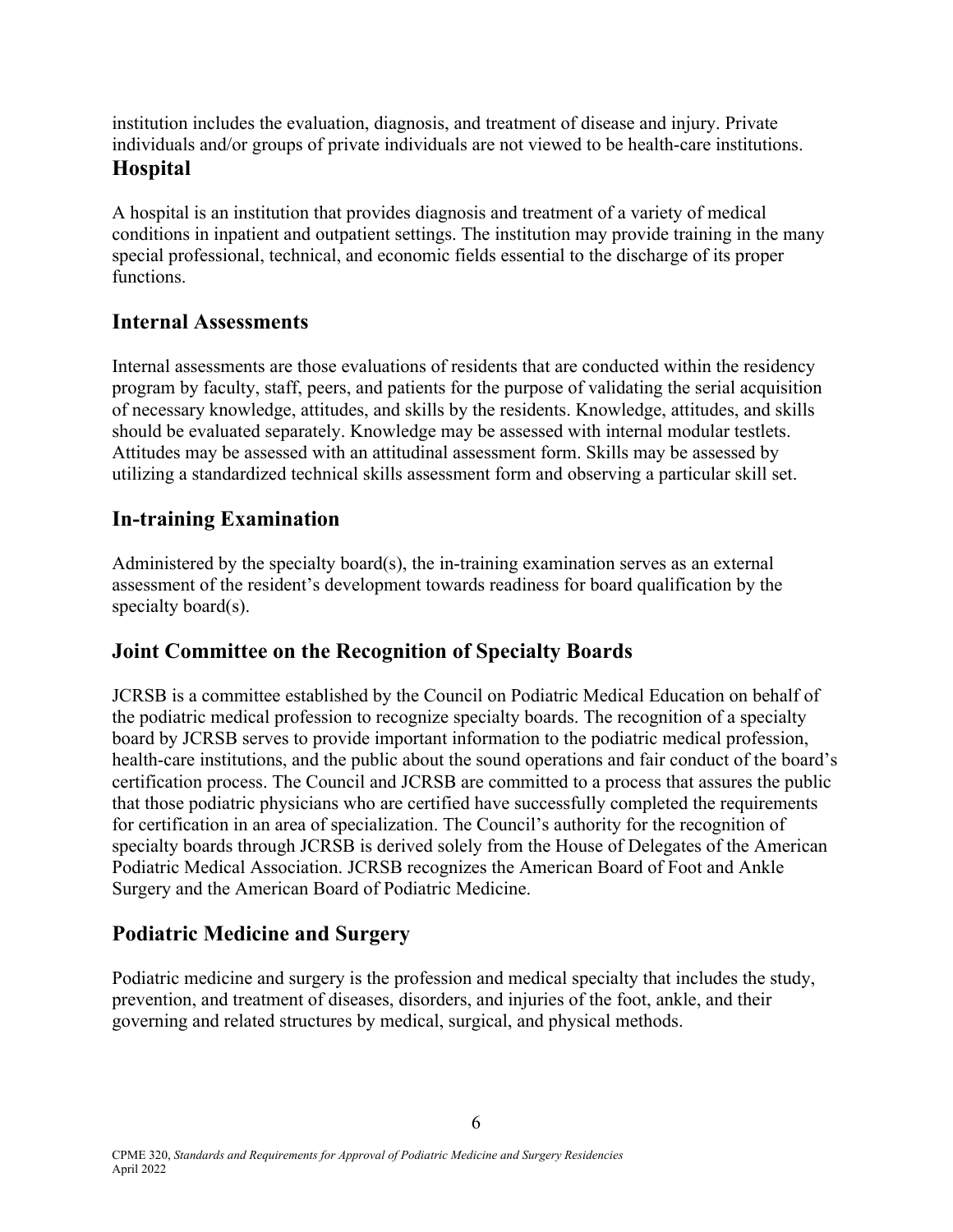institution includes the evaluation, diagnosis, and treatment of disease and injury. Private individuals and/or groups of private individuals are not viewed to be health-care institutions. **Hospital** 

A hospital is an institution that provides diagnosis and treatment of a variety of medical conditions in inpatient and outpatient settings. The institution may provide training in the many special professional, technical, and economic fields essential to the discharge of its proper functions.

### **Internal Assessments**

Internal assessments are those evaluations of residents that are conducted within the residency program by faculty, staff, peers, and patients for the purpose of validating the serial acquisition of necessary knowledge, attitudes, and skills by the residents. Knowledge, attitudes, and skills should be evaluated separately. Knowledge may be assessed with internal modular testlets. Attitudes may be assessed with an attitudinal assessment form. Skills may be assessed by utilizing a standardized technical skills assessment form and observing a particular skill set.

### **In-training Examination**

Administered by the specialty board(s), the in-training examination serves as an external assessment of the resident's development towards readiness for board qualification by the specialty board(s).

### **Joint Committee on the Recognition of Specialty Boards**

JCRSB is a committee established by the Council on Podiatric Medical Education on behalf of the podiatric medical profession to recognize specialty boards. The recognition of a specialty board by JCRSB serves to provide important information to the podiatric medical profession, health-care institutions, and the public about the sound operations and fair conduct of the board's certification process. The Council and JCRSB are committed to a process that assures the public that those podiatric physicians who are certified have successfully completed the requirements for certification in an area of specialization. The Council's authority for the recognition of specialty boards through JCRSB is derived solely from the House of Delegates of the American Podiatric Medical Association. JCRSB recognizes the American Board of Foot and Ankle Surgery and the American Board of Podiatric Medicine.

### **Podiatric Medicine and Surgery**

Podiatric medicine and surgery is the profession and medical specialty that includes the study, prevention, and treatment of diseases, disorders, and injuries of the foot, ankle, and their governing and related structures by medical, surgical, and physical methods.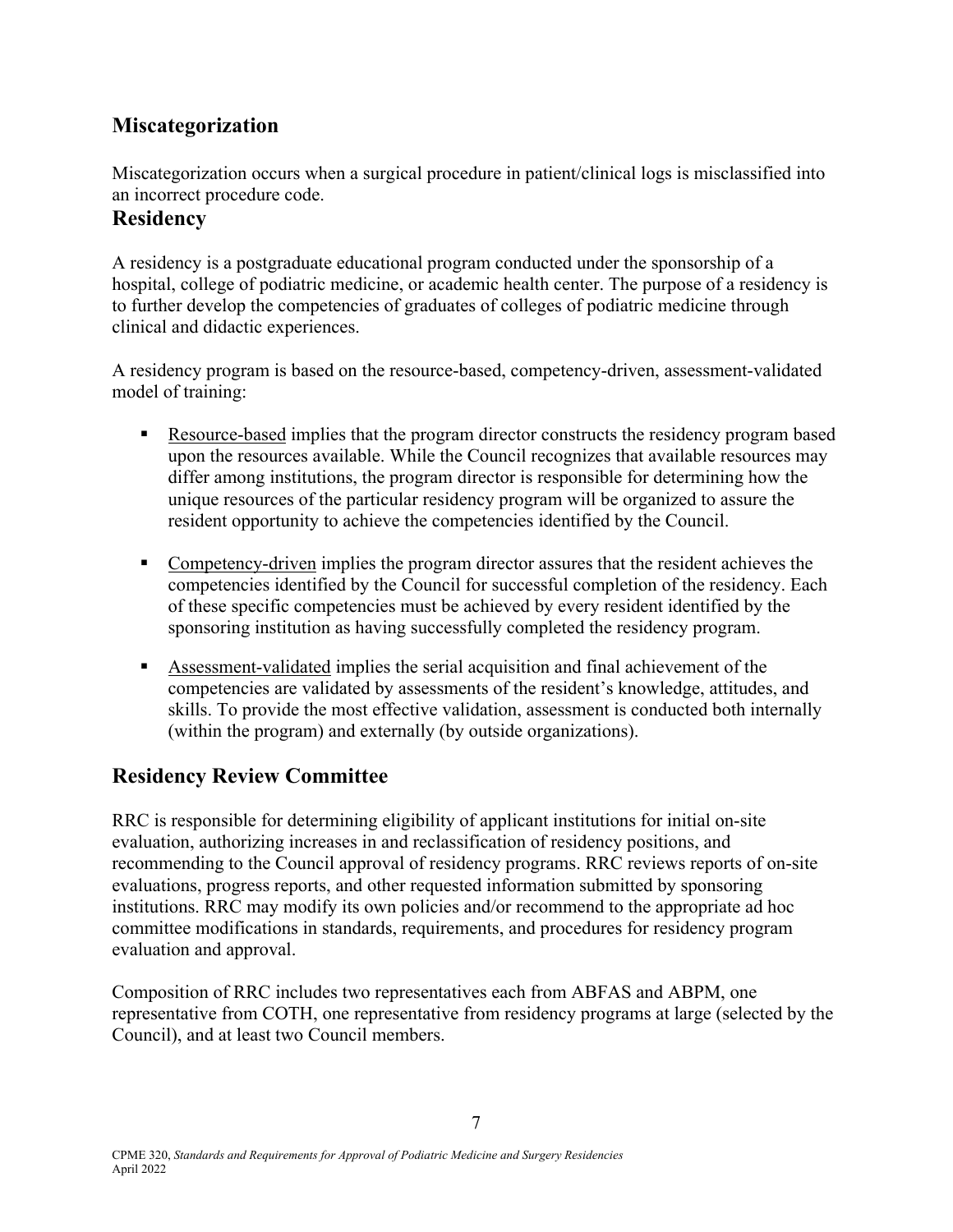## **Miscategorization**

Miscategorization occurs when a surgical procedure in patient/clinical logs is misclassified into an incorrect procedure code.

### **Residency**

A residency is a postgraduate educational program conducted under the sponsorship of a hospital, college of podiatric medicine, or academic health center. The purpose of a residency is to further develop the competencies of graduates of colleges of podiatric medicine through clinical and didactic experiences.

A residency program is based on the resource-based, competency-driven, assessment-validated model of training:

- **Resource-based implies that the program director constructs the residency program based** upon the resources available. While the Council recognizes that available resources may differ among institutions, the program director is responsible for determining how the unique resources of the particular residency program will be organized to assure the resident opportunity to achieve the competencies identified by the Council.
- **Competency-driven implies the program director assures that the resident achieves the** competencies identified by the Council for successful completion of the residency. Each of these specific competencies must be achieved by every resident identified by the sponsoring institution as having successfully completed the residency program.
- Assessment-validated implies the serial acquisition and final achievement of the competencies are validated by assessments of the resident's knowledge, attitudes, and skills. To provide the most effective validation, assessment is conducted both internally (within the program) and externally (by outside organizations).

## **Residency Review Committee**

RRC is responsible for determining eligibility of applicant institutions for initial on-site evaluation, authorizing increases in and reclassification of residency positions, and recommending to the Council approval of residency programs. RRC reviews reports of on-site evaluations, progress reports, and other requested information submitted by sponsoring institutions. RRC may modify its own policies and/or recommend to the appropriate ad hoc committee modifications in standards, requirements, and procedures for residency program evaluation and approval.

Composition of RRC includes two representatives each from ABFAS and ABPM, one representative from COTH, one representative from residency programs at large (selected by the Council), and at least two Council members.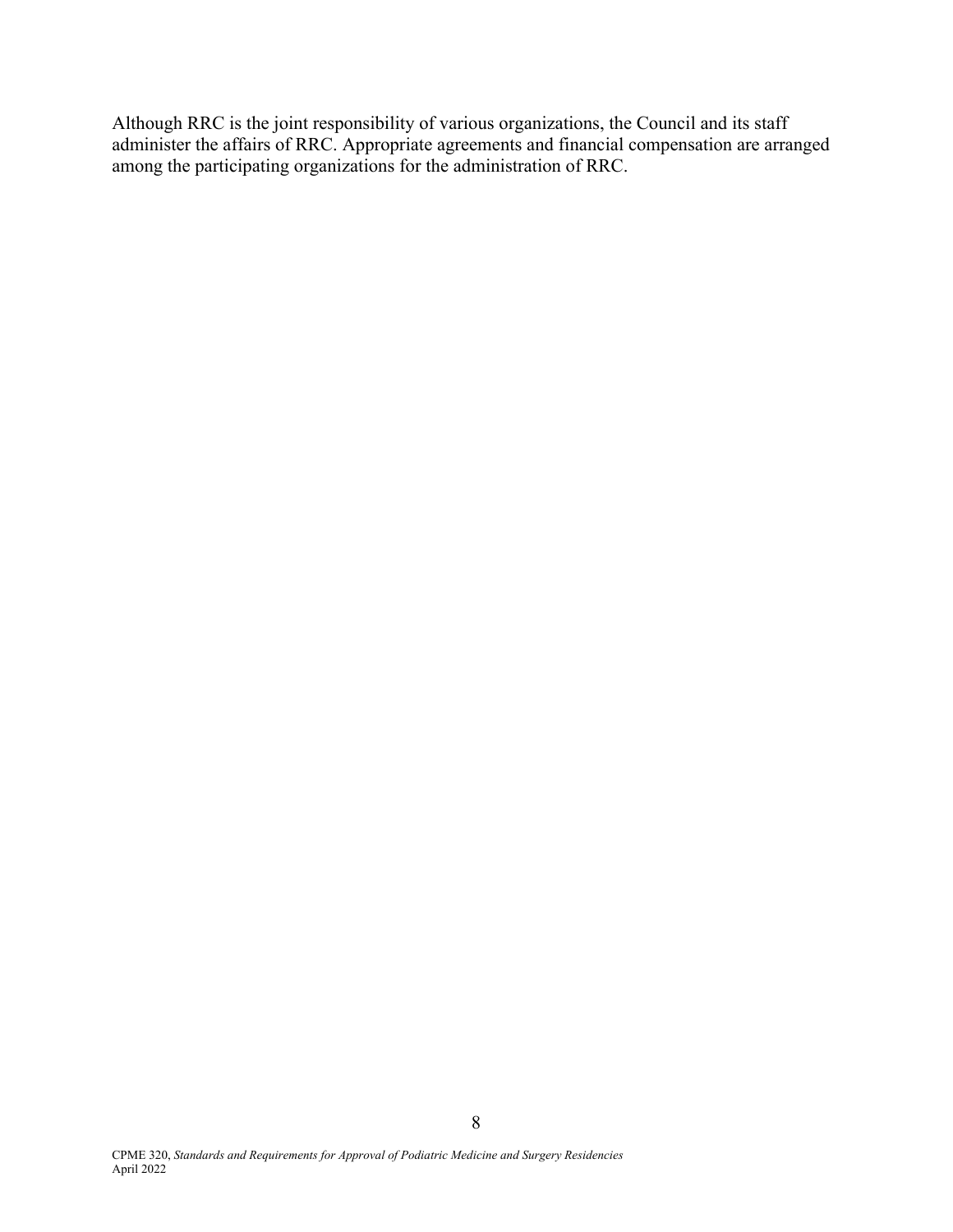Although RRC is the joint responsibility of various organizations, the Council and its staff administer the affairs of RRC. Appropriate agreements and financial compensation are arranged among the participating organizations for the administration of RRC.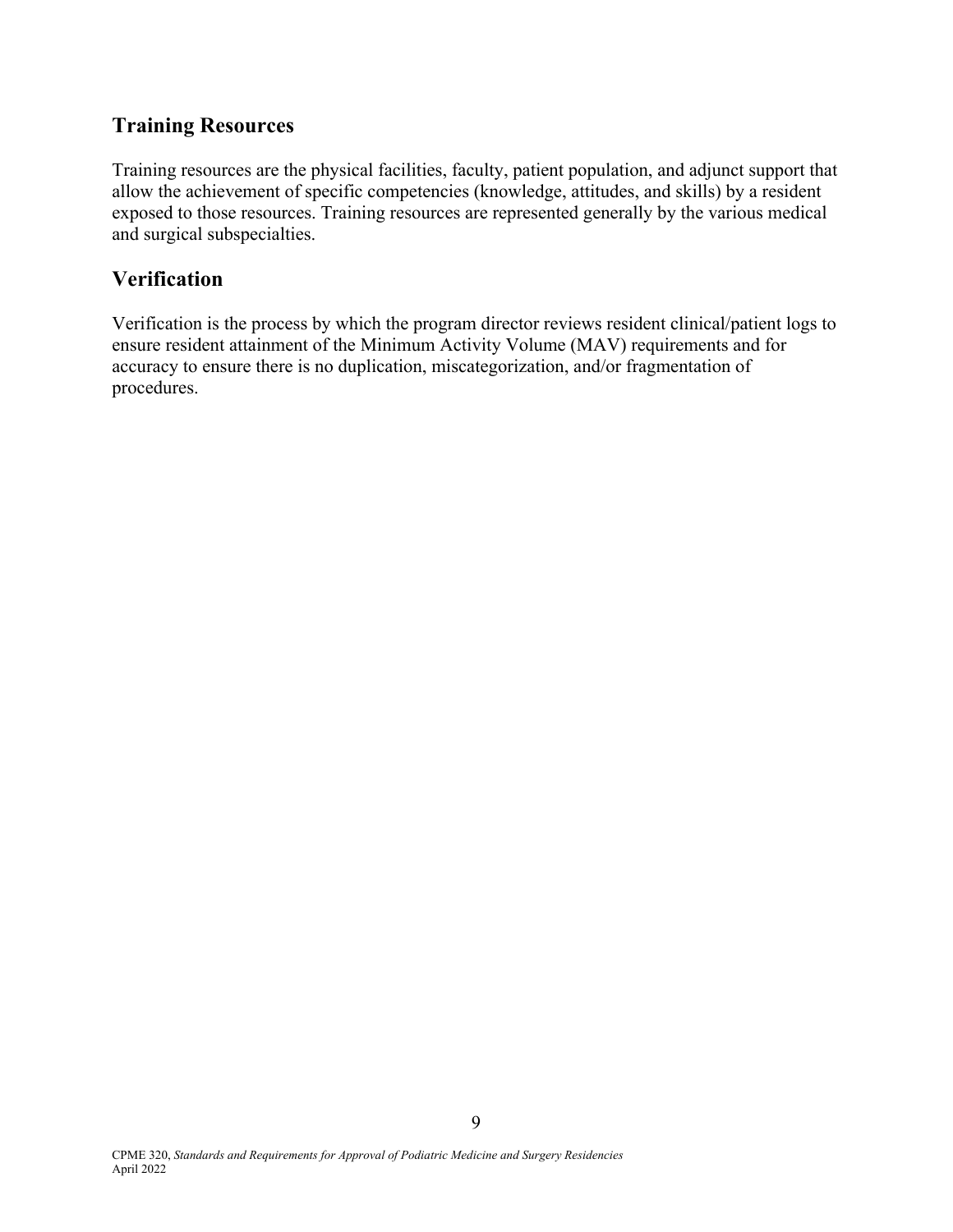### **Training Resources**

Training resources are the physical facilities, faculty, patient population, and adjunct support that allow the achievement of specific competencies (knowledge, attitudes, and skills) by a resident exposed to those resources. Training resources are represented generally by the various medical and surgical subspecialties.

### **Verification**

Verification is the process by which the program director reviews resident clinical/patient logs to ensure resident attainment of the Minimum Activity Volume (MAV) requirements and for accuracy to ensure there is no duplication, miscategorization, and/or fragmentation of procedures.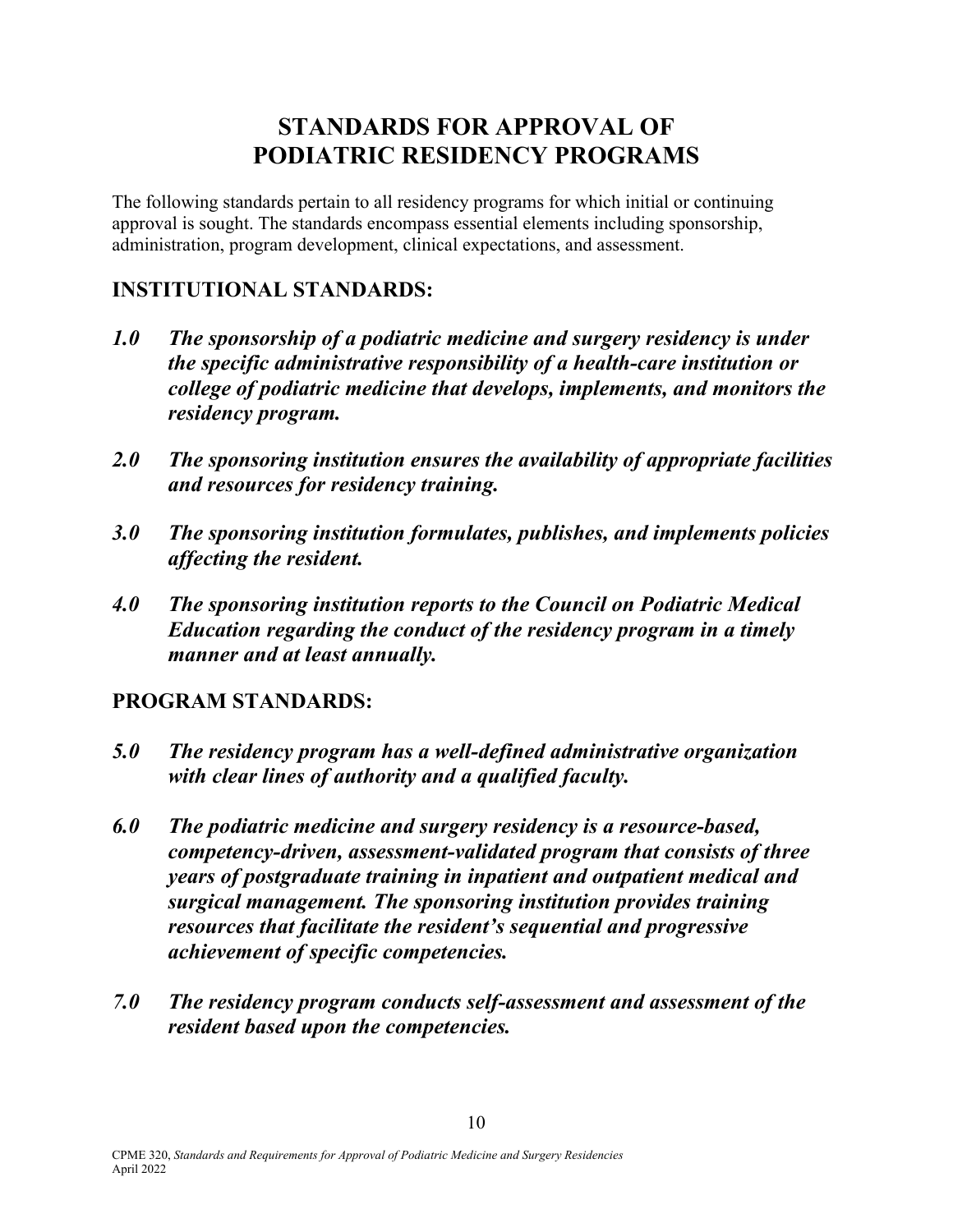# **STANDARDS FOR APPROVAL OF PODIATRIC RESIDENCY PROGRAMS**

The following standards pertain to all residency programs for which initial or continuing approval is sought. The standards encompass essential elements including sponsorship, administration, program development, clinical expectations, and assessment.

# **INSTITUTIONAL STANDARDS:**

- *1.0 The sponsorship of a podiatric medicine and surgery residency is under the specific administrative responsibility of a health-care institution or college of podiatric medicine that develops, implements, and monitors the residency program.*
- *2.0 The sponsoring institution ensures the availability of appropriate facilities and resources for residency training.*
- *3.0 The sponsoring institution formulates, publishes, and implements policies affecting the resident.*
- *4.0 The sponsoring institution reports to the Council on Podiatric Medical Education regarding the conduct of the residency program in a timely manner and at least annually.*

### **PROGRAM STANDARDS:**

- *5.0 The residency program has a well-defined administrative organization with clear lines of authority and a qualified faculty.*
- *6.0 The podiatric medicine and surgery residency is a resource-based, competency-driven, assessment-validated program that consists of three years of postgraduate training in inpatient and outpatient medical and surgical management. The sponsoring institution provides training resources that facilitate the resident's sequential and progressive achievement of specific competencies.*
- *7.0 The residency program conducts self-assessment and assessment of the resident based upon the competencies.*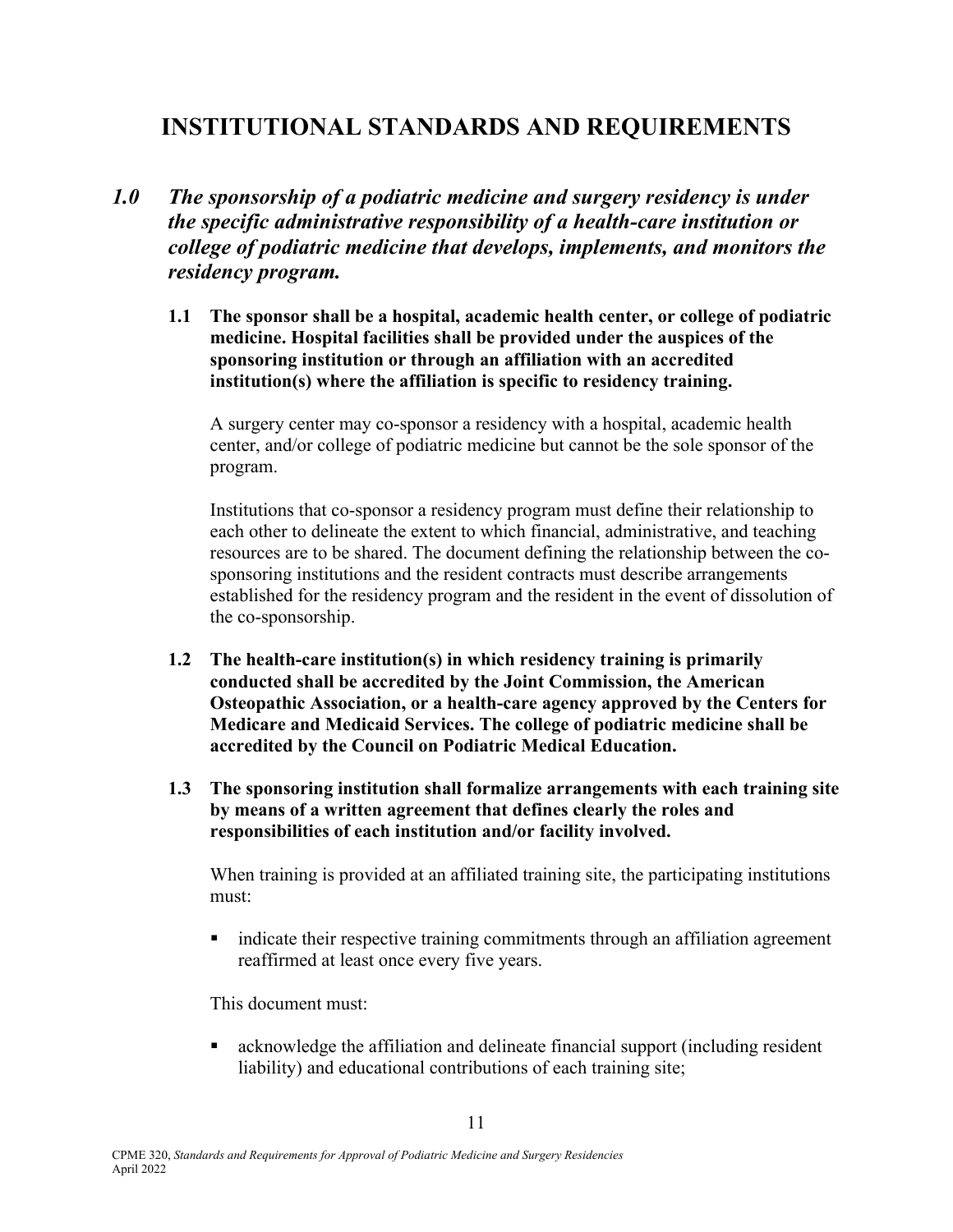# **INSTITUTIONAL STANDARDS AND REQUIREMENTS**

- *1.0 The sponsorship of a podiatric medicine and surgery residency is under the specific administrative responsibility of a health-care institution or college of podiatric medicine that develops, implements, and monitors the residency program.*
	- **1.1 The sponsor shall be a hospital, academic health center, or college of podiatric medicine. Hospital facilities shall be provided under the auspices of the sponsoring institution or through an affiliation with an accredited institution(s) where the affiliation is specific to residency training.**

 A surgery center may co-sponsor a residency with a hospital, academic health center, and/or college of podiatric medicine but cannot be the sole sponsor of the program.

 Institutions that co-sponsor a residency program must define their relationship to each other to delineate the extent to which financial, administrative, and teaching resources are to be shared. The document defining the relationship between the cosponsoring institutions and the resident contracts must describe arrangements established for the residency program and the resident in the event of dissolution of the co-sponsorship.

- **1.2 The health-care institution(s) in which residency training is primarily conducted shall be accredited by the Joint Commission, the American Osteopathic Association, or a health-care agency approved by the Centers for Medicare and Medicaid Services. The college of podiatric medicine shall be accredited by the Council on Podiatric Medical Education.**
- **1.3 The sponsoring institution shall formalize arrangements with each training site by means of a written agreement that defines clearly the roles and responsibilities of each institution and/or facility involved.**

 When training is provided at an affiliated training site, the participating institutions must:

• indicate their respective training commitments through an affiliation agreement reaffirmed at least once every five years.

This document must:

 acknowledge the affiliation and delineate financial support (including resident liability) and educational contributions of each training site;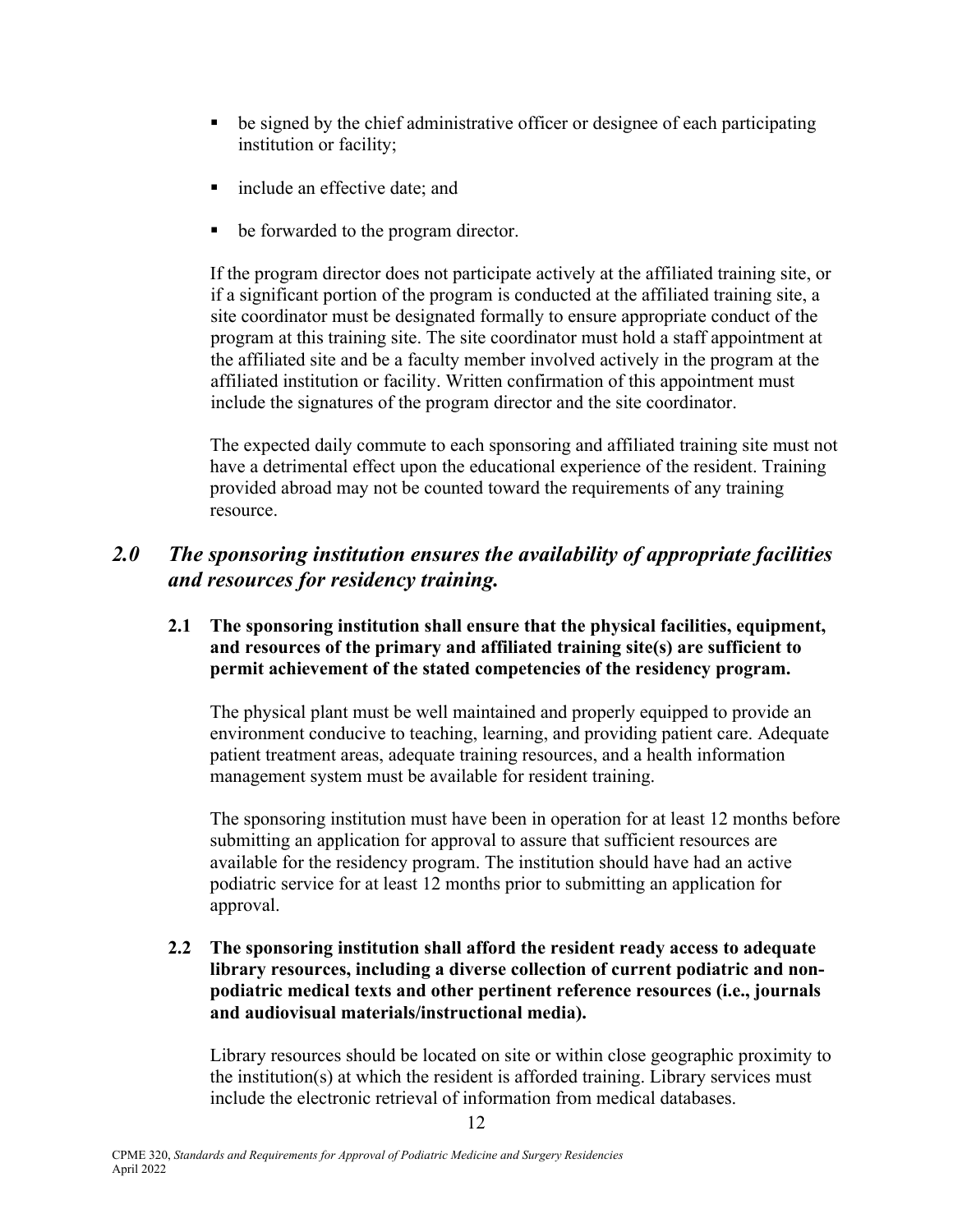- be signed by the chief administrative officer or designee of each participating institution or facility;
- include an effective date; and
- be forwarded to the program director.

 If the program director does not participate actively at the affiliated training site, or if a significant portion of the program is conducted at the affiliated training site, a site coordinator must be designated formally to ensure appropriate conduct of the program at this training site. The site coordinator must hold a staff appointment at the affiliated site and be a faculty member involved actively in the program at the affiliated institution or facility. Written confirmation of this appointment must include the signatures of the program director and the site coordinator.

 The expected daily commute to each sponsoring and affiliated training site must not have a detrimental effect upon the educational experience of the resident. Training provided abroad may not be counted toward the requirements of any training resource.

### *2.0 The sponsoring institution ensures the availability of appropriate facilities and resources for residency training.*

#### **2.1 The sponsoring institution shall ensure that the physical facilities, equipment, and resources of the primary and affiliated training site(s) are sufficient to permit achievement of the stated competencies of the residency program.**

 The physical plant must be well maintained and properly equipped to provide an environment conducive to teaching, learning, and providing patient care. Adequate patient treatment areas, adequate training resources, and a health information management system must be available for resident training.

 The sponsoring institution must have been in operation for at least 12 months before submitting an application for approval to assure that sufficient resources are available for the residency program. The institution should have had an active podiatric service for at least 12 months prior to submitting an application for approval.

#### **2.2 The sponsoring institution shall afford the resident ready access to adequate library resources, including a diverse collection of current podiatric and nonpodiatric medical texts and other pertinent reference resources (i.e., journals and audiovisual materials/instructional media).**

 Library resources should be located on site or within close geographic proximity to the institution(s) at which the resident is afforded training. Library services must include the electronic retrieval of information from medical databases.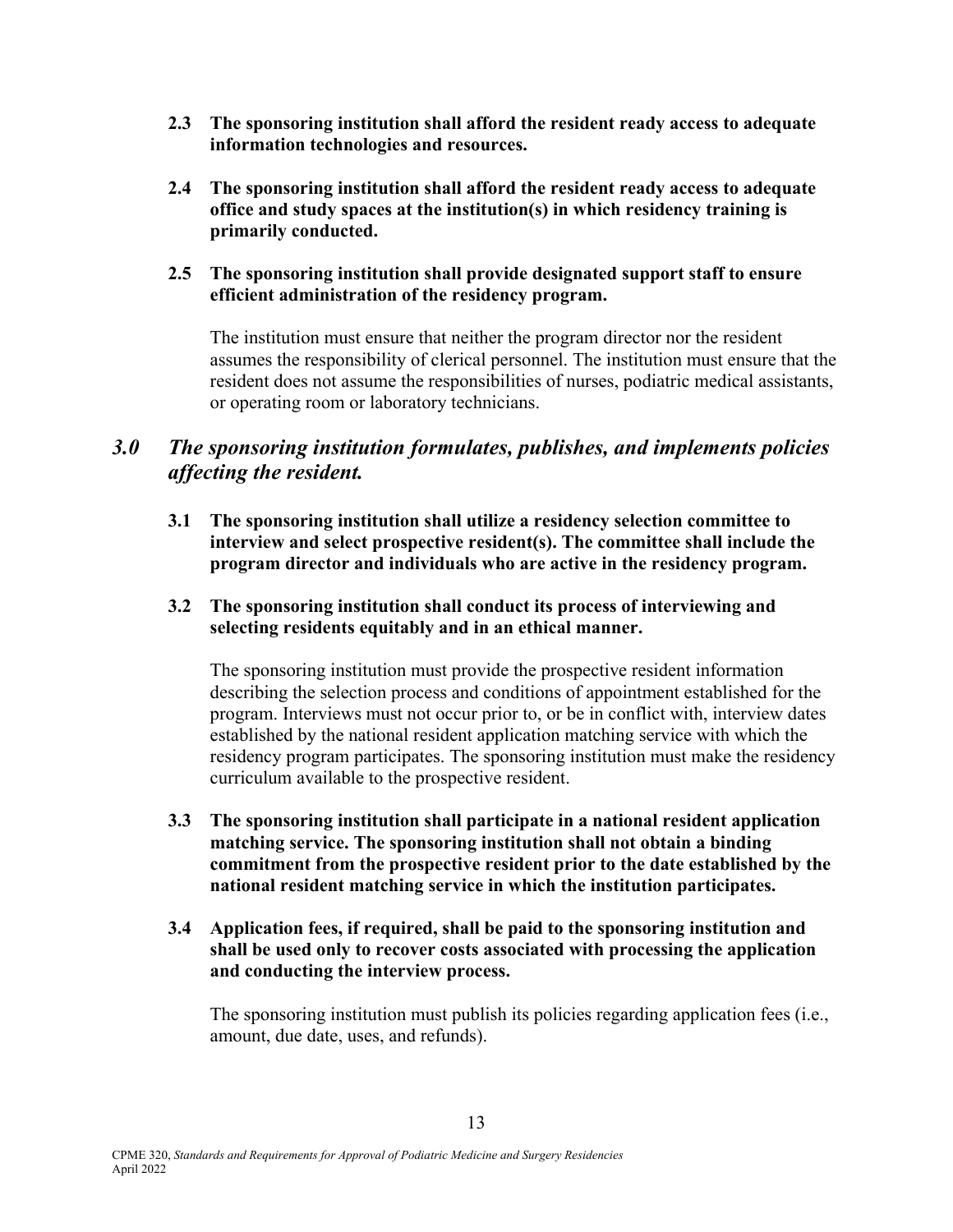- **2.3 The sponsoring institution shall afford the resident ready access to adequate information technologies and resources.**
- **2.4 The sponsoring institution shall afford the resident ready access to adequate office and study spaces at the institution(s) in which residency training is primarily conducted.**
- **2.5 The sponsoring institution shall provide designated support staff to ensure efficient administration of the residency program.**

 The institution must ensure that neither the program director nor the resident assumes the responsibility of clerical personnel. The institution must ensure that the resident does not assume the responsibilities of nurses, podiatric medical assistants, or operating room or laboratory technicians.

### *3.0 The sponsoring institution formulates, publishes, and implements policies affecting the resident.*

- **3.1 The sponsoring institution shall utilize a residency selection committee to interview and select prospective resident(s). The committee shall include the program director and individuals who are active in the residency program.**
- **3.2 The sponsoring institution shall conduct its process of interviewing and selecting residents equitably and in an ethical manner.**

The sponsoring institution must provide the prospective resident information describing the selection process and conditions of appointment established for the program. Interviews must not occur prior to, or be in conflict with, interview dates established by the national resident application matching service with which the residency program participates. The sponsoring institution must make the residency curriculum available to the prospective resident.

- **3.3 The sponsoring institution shall participate in a national resident application matching service. The sponsoring institution shall not obtain a binding commitment from the prospective resident prior to the date established by the national resident matching service in which the institution participates.**
- **3.4 Application fees, if required, shall be paid to the sponsoring institution and shall be used only to recover costs associated with processing the application and conducting the interview process.**

 The sponsoring institution must publish its policies regarding application fees (i.e., amount, due date, uses, and refunds).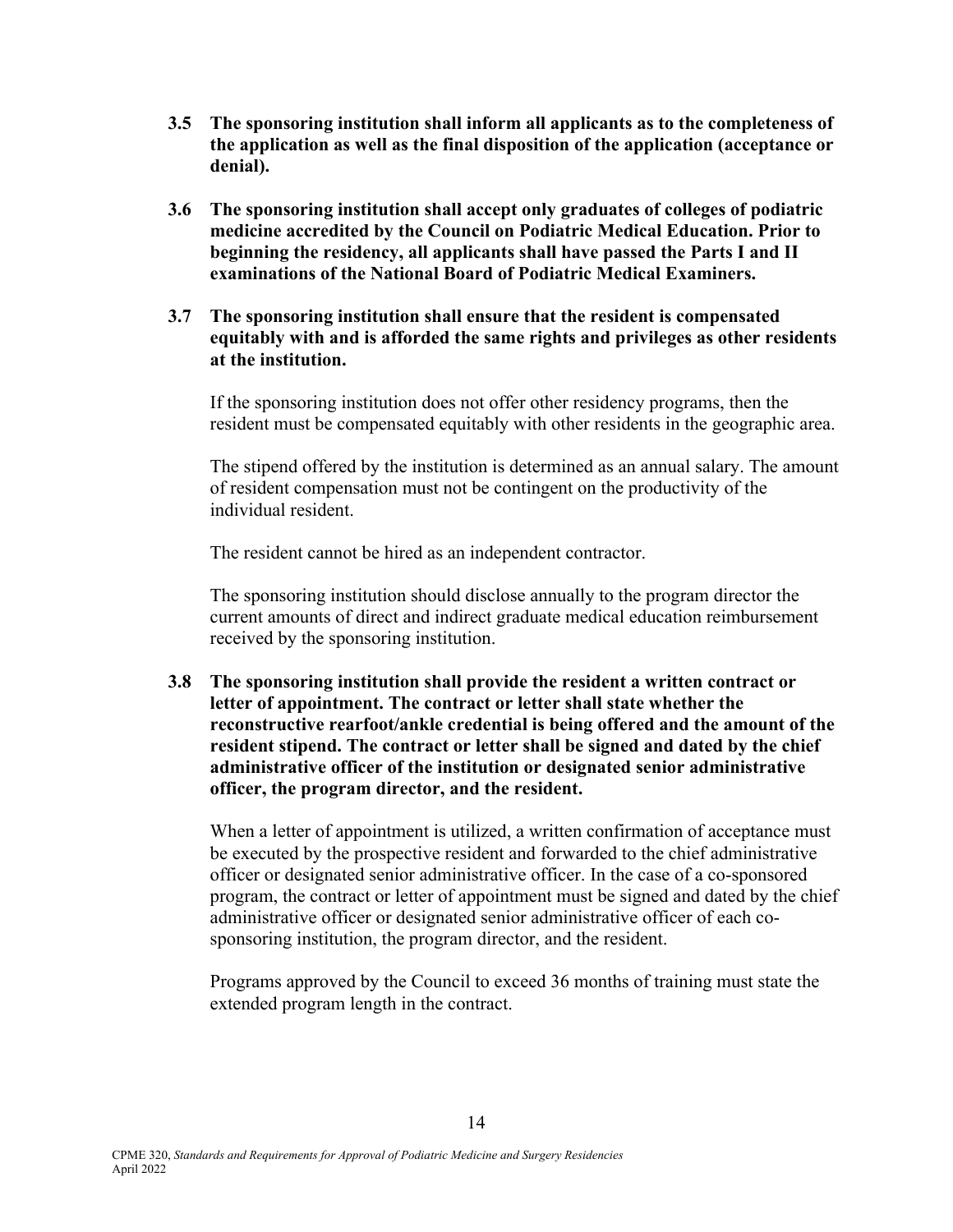- **3.5 The sponsoring institution shall inform all applicants as to the completeness of the application as well as the final disposition of the application (acceptance or denial).**
- **3.6 The sponsoring institution shall accept only graduates of colleges of podiatric medicine accredited by the Council on Podiatric Medical Education. Prior to beginning the residency, all applicants shall have passed the Parts I and II examinations of the National Board of Podiatric Medical Examiners.**
- **3.7 The sponsoring institution shall ensure that the resident is compensated equitably with and is afforded the same rights and privileges as other residents at the institution.**

If the sponsoring institution does not offer other residency programs, then the resident must be compensated equitably with other residents in the geographic area.

 The stipend offered by the institution is determined as an annual salary. The amount of resident compensation must not be contingent on the productivity of the individual resident.

The resident cannot be hired as an independent contractor.

 The sponsoring institution should disclose annually to the program director the current amounts of direct and indirect graduate medical education reimbursement received by the sponsoring institution.

**3.8 The sponsoring institution shall provide the resident a written contract or letter of appointment. The contract or letter shall state whether the reconstructive rearfoot/ankle credential is being offered and the amount of the resident stipend. The contract or letter shall be signed and dated by the chief administrative officer of the institution or designated senior administrative officer, the program director, and the resident.** 

 When a letter of appointment is utilized, a written confirmation of acceptance must be executed by the prospective resident and forwarded to the chief administrative officer or designated senior administrative officer. In the case of a co-sponsored program, the contract or letter of appointment must be signed and dated by the chief administrative officer or designated senior administrative officer of each cosponsoring institution, the program director, and the resident.

 Programs approved by the Council to exceed 36 months of training must state the extended program length in the contract.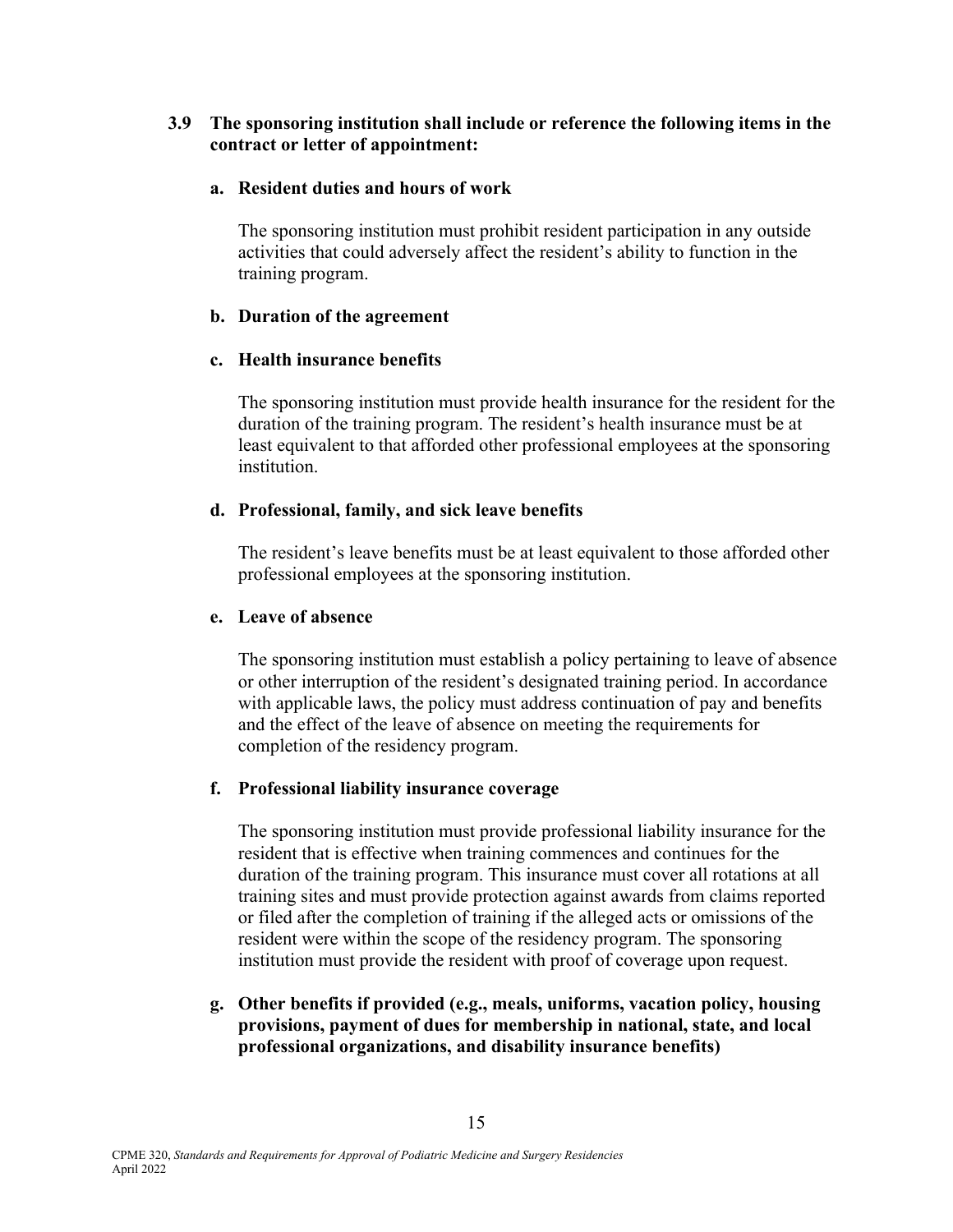#### **3.9 The sponsoring institution shall include or reference the following items in the contract or letter of appointment:**

#### **a. Resident duties and hours of work**

 The sponsoring institution must prohibit resident participation in any outside activities that could adversely affect the resident's ability to function in the training program.

#### **b. Duration of the agreement**

### **c. Health insurance benefits**

 The sponsoring institution must provide health insurance for the resident for the duration of the training program. The resident's health insurance must be at least equivalent to that afforded other professional employees at the sponsoring institution.

#### **d. Professional, family, and sick leave benefits**

The resident's leave benefits must be at least equivalent to those afforded other professional employees at the sponsoring institution.

#### **e. Leave of absence**

 The sponsoring institution must establish a policy pertaining to leave of absence or other interruption of the resident's designated training period. In accordance with applicable laws, the policy must address continuation of pay and benefits and the effect of the leave of absence on meeting the requirements for completion of the residency program.

### **f. Professional liability insurance coverage**

 The sponsoring institution must provide professional liability insurance for the resident that is effective when training commences and continues for the duration of the training program. This insurance must cover all rotations at all training sites and must provide protection against awards from claims reported or filed after the completion of training if the alleged acts or omissions of the resident were within the scope of the residency program. The sponsoring institution must provide the resident with proof of coverage upon request.

 **g. Other benefits if provided (e.g., meals, uniforms, vacation policy, housing provisions, payment of dues for membership in national, state, and local professional organizations, and disability insurance benefits)**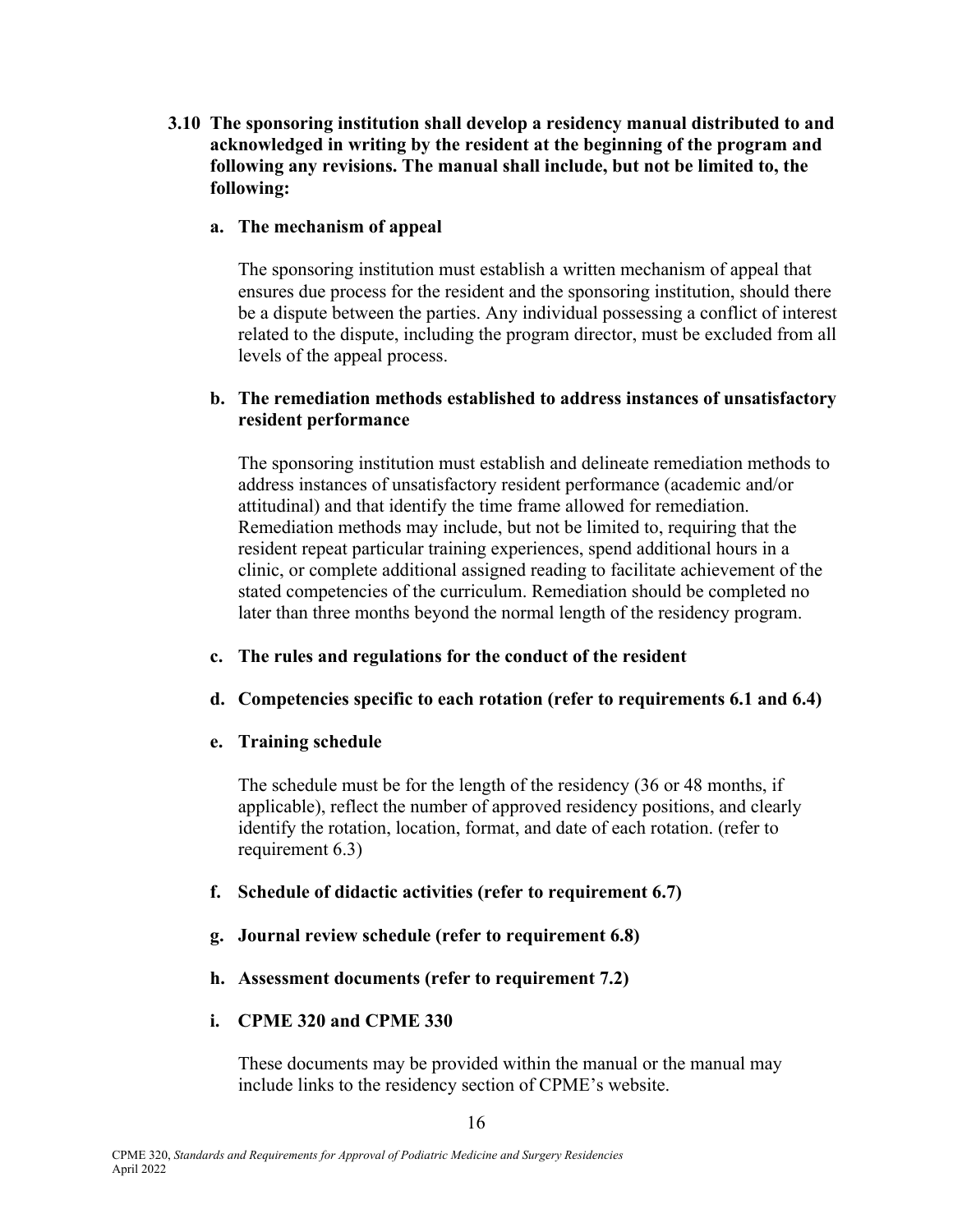**3.10 The sponsoring institution shall develop a residency manual distributed to and acknowledged in writing by the resident at the beginning of the program and following any revisions. The manual shall include, but not be limited to, the following:** 

#### **a. The mechanism of appeal**

 The sponsoring institution must establish a written mechanism of appeal that ensures due process for the resident and the sponsoring institution, should there be a dispute between the parties. Any individual possessing a conflict of interest related to the dispute, including the program director, must be excluded from all levels of the appeal process.

#### **b. The remediation methods established to address instances of unsatisfactory resident performance**

The sponsoring institution must establish and delineate remediation methods to address instances of unsatisfactory resident performance (academic and/or attitudinal) and that identify the time frame allowed for remediation. Remediation methods may include, but not be limited to, requiring that the resident repeat particular training experiences, spend additional hours in a clinic, or complete additional assigned reading to facilitate achievement of the stated competencies of the curriculum. Remediation should be completed no later than three months beyond the normal length of the residency program.

### **c. The rules and regulations for the conduct of the resident**

### **d. Competencies specific to each rotation (refer to requirements 6.1 and 6.4)**

### **e. Training schedule**

 The schedule must be for the length of the residency (36 or 48 months, if applicable), reflect the number of approved residency positions, and clearly identify the rotation, location, format, and date of each rotation. (refer to requirement 6.3)

### **f. Schedule of didactic activities (refer to requirement 6.7)**

- **g. Journal review schedule (refer to requirement 6.8)**
- **h. Assessment documents (refer to requirement 7.2)**

### **i. CPME 320 and CPME 330**

 These documents may be provided within the manual or the manual may include links to the residency section of CPME's website.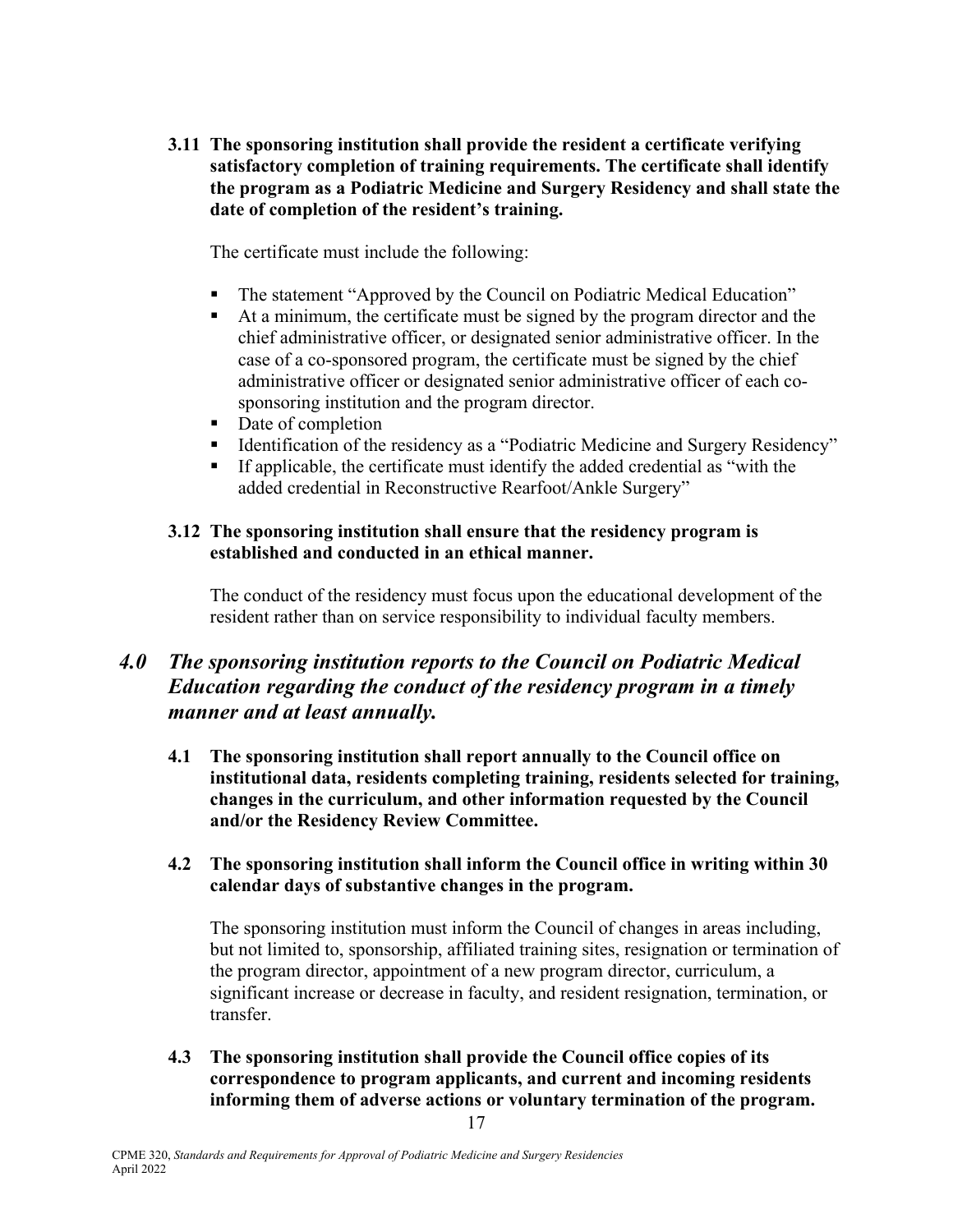**3.11 The sponsoring institution shall provide the resident a certificate verifying satisfactory completion of training requirements. The certificate shall identify the program as a Podiatric Medicine and Surgery Residency and shall state the date of completion of the resident's training.**

The certificate must include the following:

- The statement "Approved by the Council on Podiatric Medical Education"
- At a minimum, the certificate must be signed by the program director and the chief administrative officer, or designated senior administrative officer. In the case of a co-sponsored program, the certificate must be signed by the chief administrative officer or designated senior administrative officer of each cosponsoring institution and the program director.
- Date of completion
- Identification of the residency as a "Podiatric Medicine and Surgery Residency"
- If applicable, the certificate must identify the added credential as "with the added credential in Reconstructive Rearfoot/Ankle Surgery"

### **3.12 The sponsoring institution shall ensure that the residency program is established and conducted in an ethical manner.**

 The conduct of the residency must focus upon the educational development of the resident rather than on service responsibility to individual faculty members.

### *4.0 The sponsoring institution reports to the Council on Podiatric Medical Education regarding the conduct of the residency program in a timely manner and at least annually.*

**4.1 The sponsoring institution shall report annually to the Council office on institutional data, residents completing training, residents selected for training, changes in the curriculum, and other information requested by the Council and/or the Residency Review Committee.**

#### **4.2 The sponsoring institution shall inform the Council office in writing within 30 calendar days of substantive changes in the program.**

 The sponsoring institution must inform the Council of changes in areas including, but not limited to, sponsorship, affiliated training sites, resignation or termination of the program director, appointment of a new program director, curriculum, a significant increase or decrease in faculty, and resident resignation, termination, or transfer.

**4.3 The sponsoring institution shall provide the Council office copies of its correspondence to program applicants, and current and incoming residents informing them of adverse actions or voluntary termination of the program.**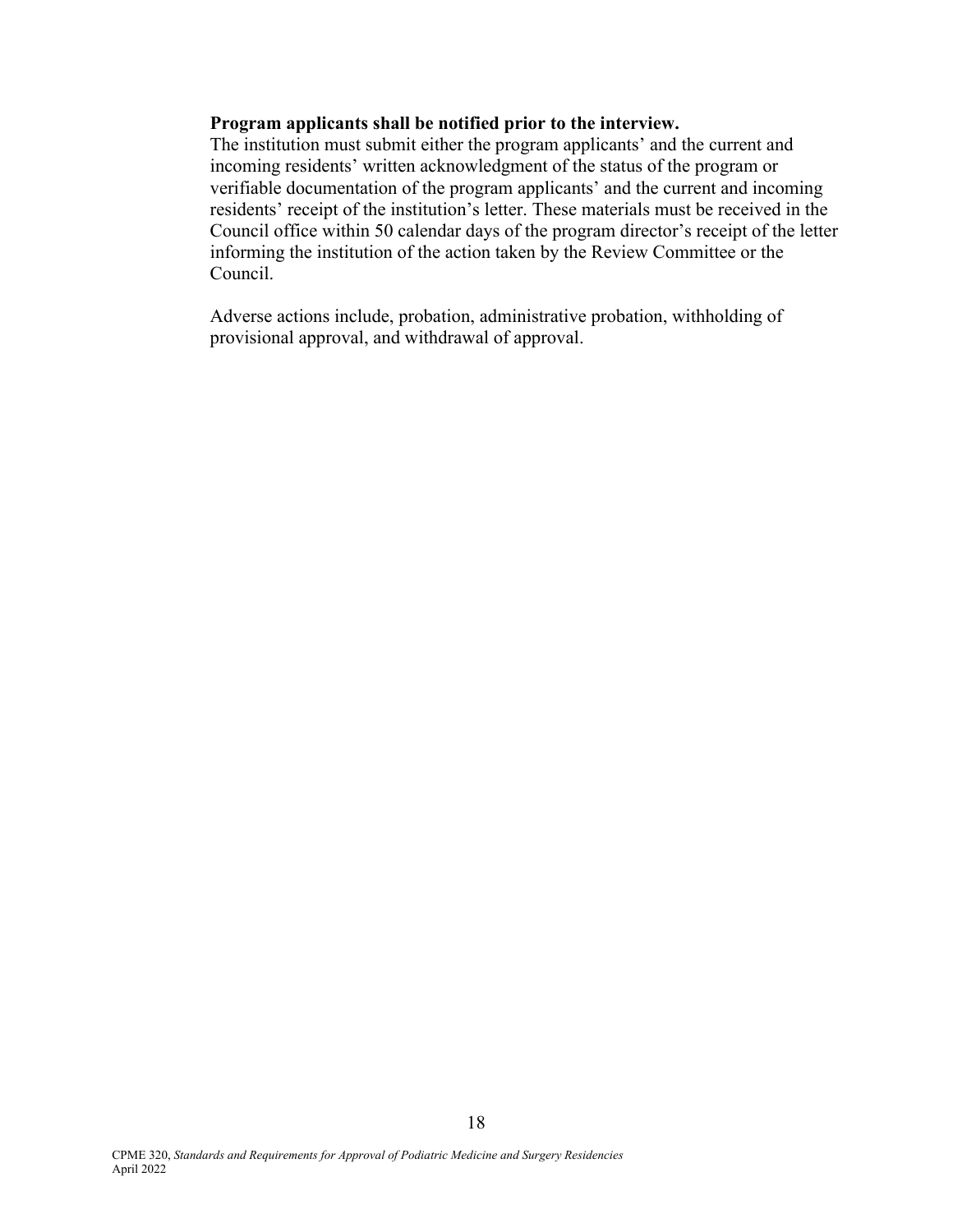#### **Program applicants shall be notified prior to the interview.**

 The institution must submit either the program applicants' and the current and incoming residents' written acknowledgment of the status of the program or verifiable documentation of the program applicants' and the current and incoming residents' receipt of the institution's letter. These materials must be received in the Council office within 50 calendar days of the program director's receipt of the letter informing the institution of the action taken by the Review Committee or the Council.

 Adverse actions include, probation, administrative probation, withholding of provisional approval, and withdrawal of approval.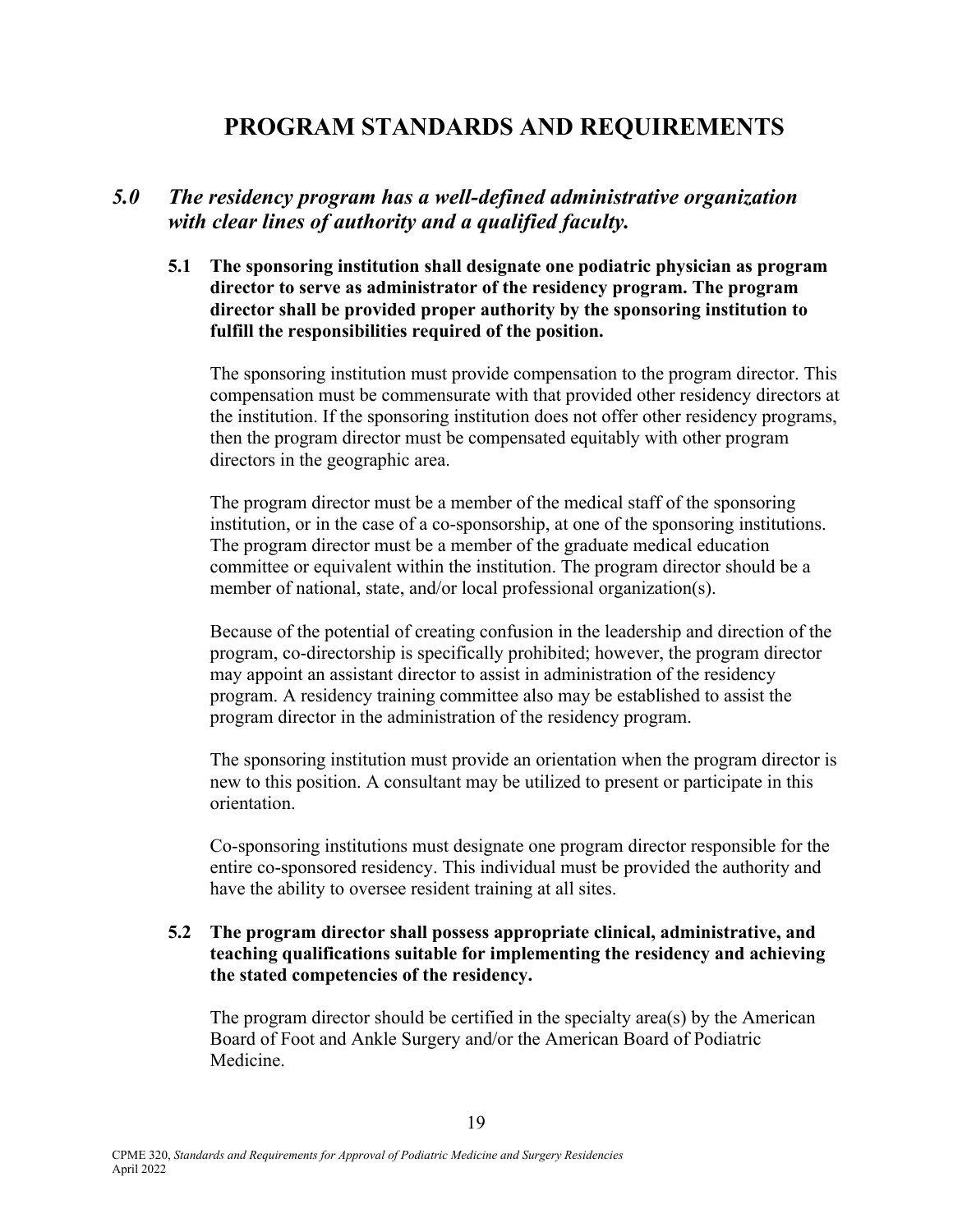# **PROGRAM STANDARDS AND REQUIREMENTS**

### *5.0 The residency program has a well-defined administrative organization with clear lines of authority and a qualified faculty.*

**5.1 The sponsoring institution shall designate one podiatric physician as program director to serve as administrator of the residency program. The program director shall be provided proper authority by the sponsoring institution to fulfill the responsibilities required of the position.** 

 The sponsoring institution must provide compensation to the program director. This compensation must be commensurate with that provided other residency directors at the institution. If the sponsoring institution does not offer other residency programs, then the program director must be compensated equitably with other program directors in the geographic area.

 The program director must be a member of the medical staff of the sponsoring institution, or in the case of a co-sponsorship, at one of the sponsoring institutions. The program director must be a member of the graduate medical education committee or equivalent within the institution. The program director should be a member of national, state, and/or local professional organization(s).

 Because of the potential of creating confusion in the leadership and direction of the program, co-directorship is specifically prohibited; however, the program director may appoint an assistant director to assist in administration of the residency program. A residency training committee also may be established to assist the program director in the administration of the residency program.

 The sponsoring institution must provide an orientation when the program director is new to this position. A consultant may be utilized to present or participate in this orientation.

Co-sponsoring institutions must designate one program director responsible for the entire co-sponsored residency. This individual must be provided the authority and have the ability to oversee resident training at all sites.

#### **5.2 The program director shall possess appropriate clinical, administrative, and teaching qualifications suitable for implementing the residency and achieving the stated competencies of the residency.**

 The program director should be certified in the specialty area(s) by the American Board of Foot and Ankle Surgery and/or the American Board of Podiatric Medicine.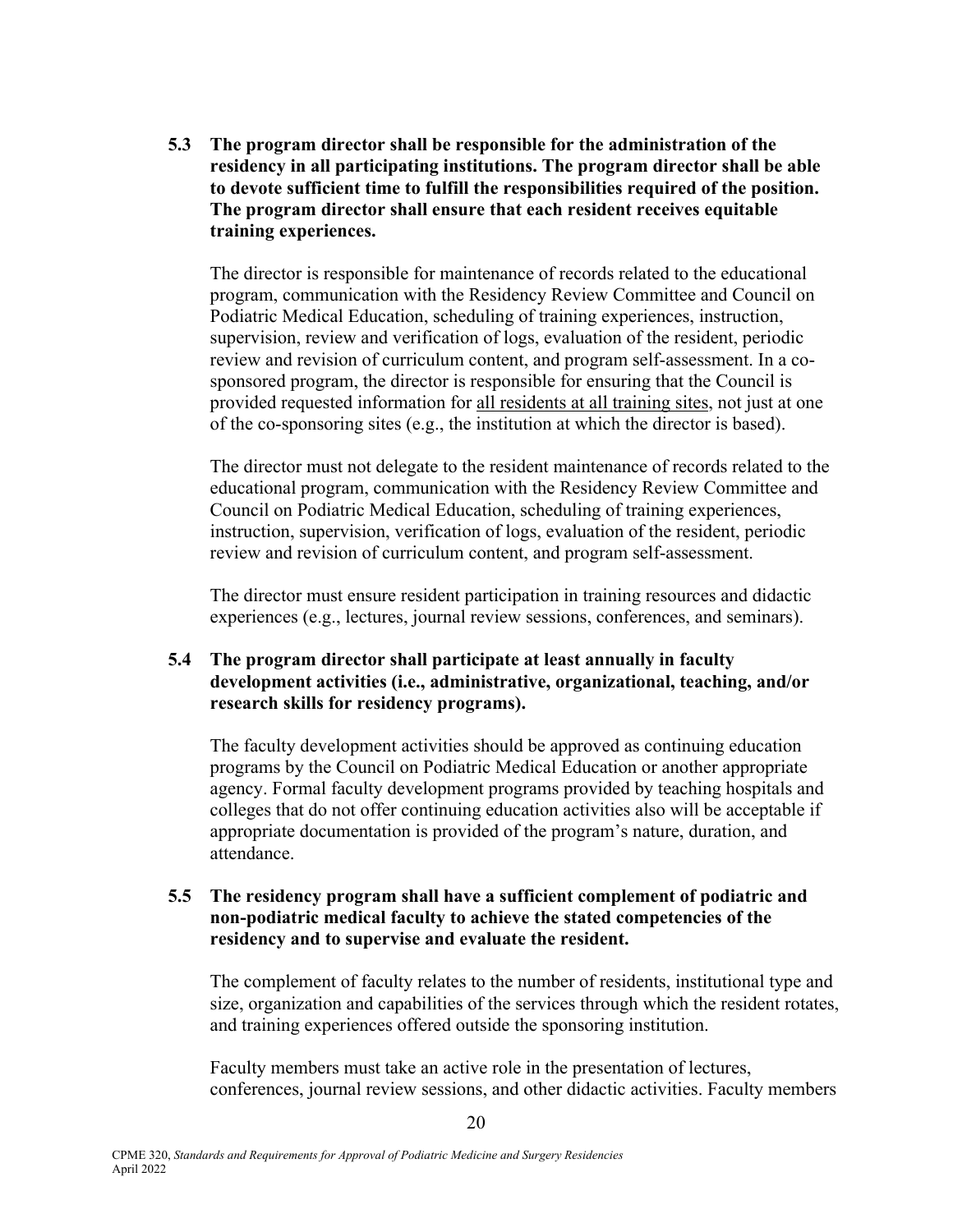**5.3 The program director shall be responsible for the administration of the residency in all participating institutions. The program director shall be able to devote sufficient time to fulfill the responsibilities required of the position. The program director shall ensure that each resident receives equitable training experiences.** 

 The director is responsible for maintenance of records related to the educational program, communication with the Residency Review Committee and Council on Podiatric Medical Education, scheduling of training experiences, instruction, supervision, review and verification of logs, evaluation of the resident, periodic review and revision of curriculum content, and program self-assessment. In a cosponsored program, the director is responsible for ensuring that the Council is provided requested information for all residents at all training sites, not just at one of the co-sponsoring sites (e.g., the institution at which the director is based).

 The director must not delegate to the resident maintenance of records related to the educational program, communication with the Residency Review Committee and Council on Podiatric Medical Education, scheduling of training experiences, instruction, supervision, verification of logs, evaluation of the resident, periodic review and revision of curriculum content, and program self-assessment.

 The director must ensure resident participation in training resources and didactic experiences (e.g., lectures, journal review sessions, conferences, and seminars).

#### **5.4 The program director shall participate at least annually in faculty development activities (i.e., administrative, organizational, teaching, and/or research skills for residency programs).**

 The faculty development activities should be approved as continuing education programs by the Council on Podiatric Medical Education or another appropriate agency. Formal faculty development programs provided by teaching hospitals and colleges that do not offer continuing education activities also will be acceptable if appropriate documentation is provided of the program's nature, duration, and attendance.

#### **5.5 The residency program shall have a sufficient complement of podiatric and non-podiatric medical faculty to achieve the stated competencies of the residency and to supervise and evaluate the resident.**

 The complement of faculty relates to the number of residents, institutional type and size, organization and capabilities of the services through which the resident rotates, and training experiences offered outside the sponsoring institution.

 Faculty members must take an active role in the presentation of lectures, conferences, journal review sessions, and other didactic activities. Faculty members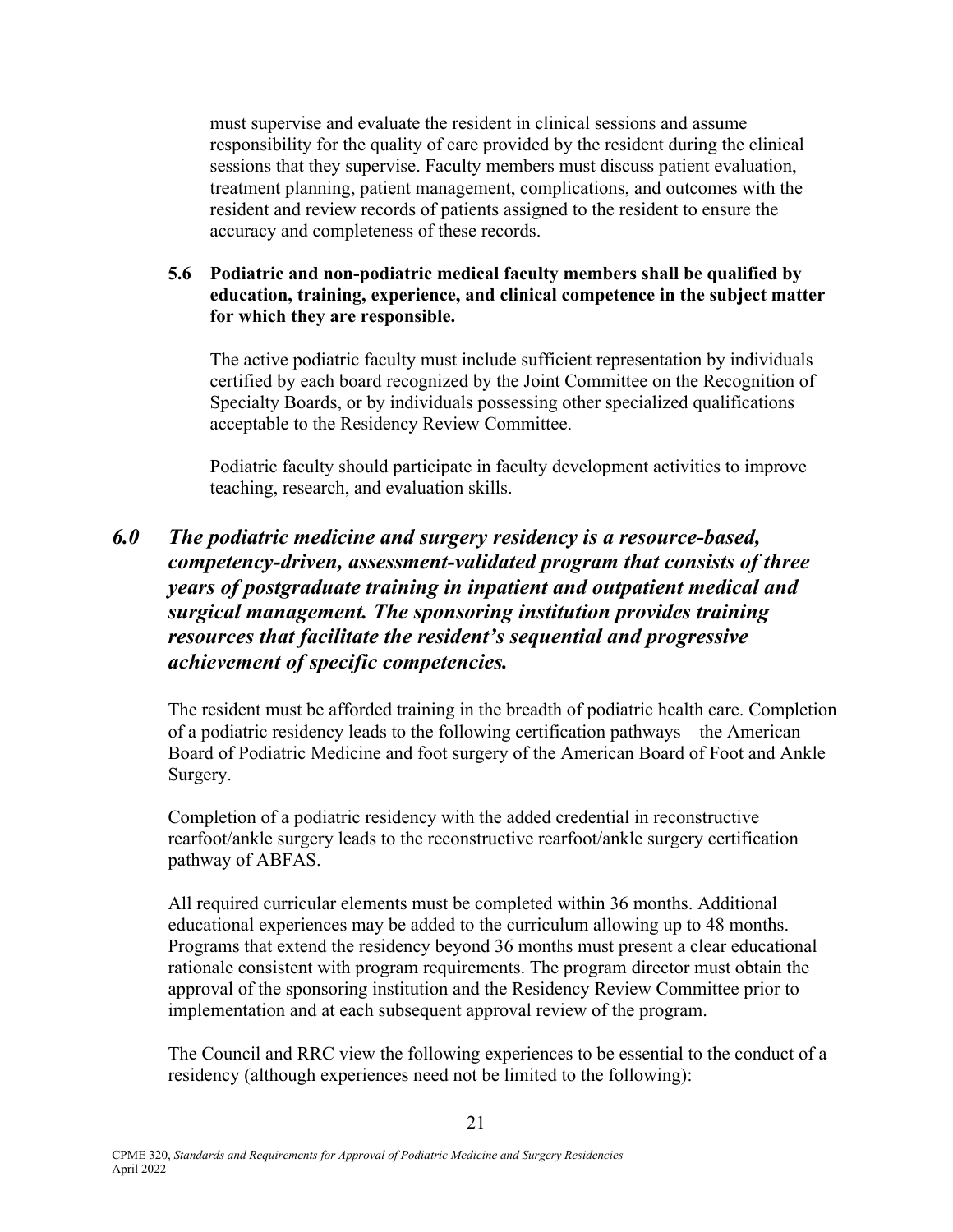must supervise and evaluate the resident in clinical sessions and assume responsibility for the quality of care provided by the resident during the clinical sessions that they supervise. Faculty members must discuss patient evaluation, treatment planning, patient management, complications, and outcomes with the resident and review records of patients assigned to the resident to ensure the accuracy and completeness of these records.

#### **5.6 Podiatric and non-podiatric medical faculty members shall be qualified by education, training, experience, and clinical competence in the subject matter for which they are responsible.**

The active podiatric faculty must include sufficient representation by individuals certified by each board recognized by the Joint Committee on the Recognition of Specialty Boards, or by individuals possessing other specialized qualifications acceptable to the Residency Review Committee.

 Podiatric faculty should participate in faculty development activities to improve teaching, research, and evaluation skills.

## *6.0 The podiatric medicine and surgery residency is a resource-based, competency-driven, assessment-validated program that consists of three years of postgraduate training in inpatient and outpatient medical and surgical management. The sponsoring institution provides training resources that facilitate the resident's sequential and progressive achievement of specific competencies.*

 The resident must be afforded training in the breadth of podiatric health care. Completion of a podiatric residency leads to the following certification pathways – the American Board of Podiatric Medicine and foot surgery of the American Board of Foot and Ankle Surgery.

 Completion of a podiatric residency with the added credential in reconstructive rearfoot/ankle surgery leads to the reconstructive rearfoot/ankle surgery certification pathway of ABFAS.

 All required curricular elements must be completed within 36 months. Additional educational experiences may be added to the curriculum allowing up to 48 months. Programs that extend the residency beyond 36 months must present a clear educational rationale consistent with program requirements. The program director must obtain the approval of the sponsoring institution and the Residency Review Committee prior to implementation and at each subsequent approval review of the program.

The Council and RRC view the following experiences to be essential to the conduct of a residency (although experiences need not be limited to the following):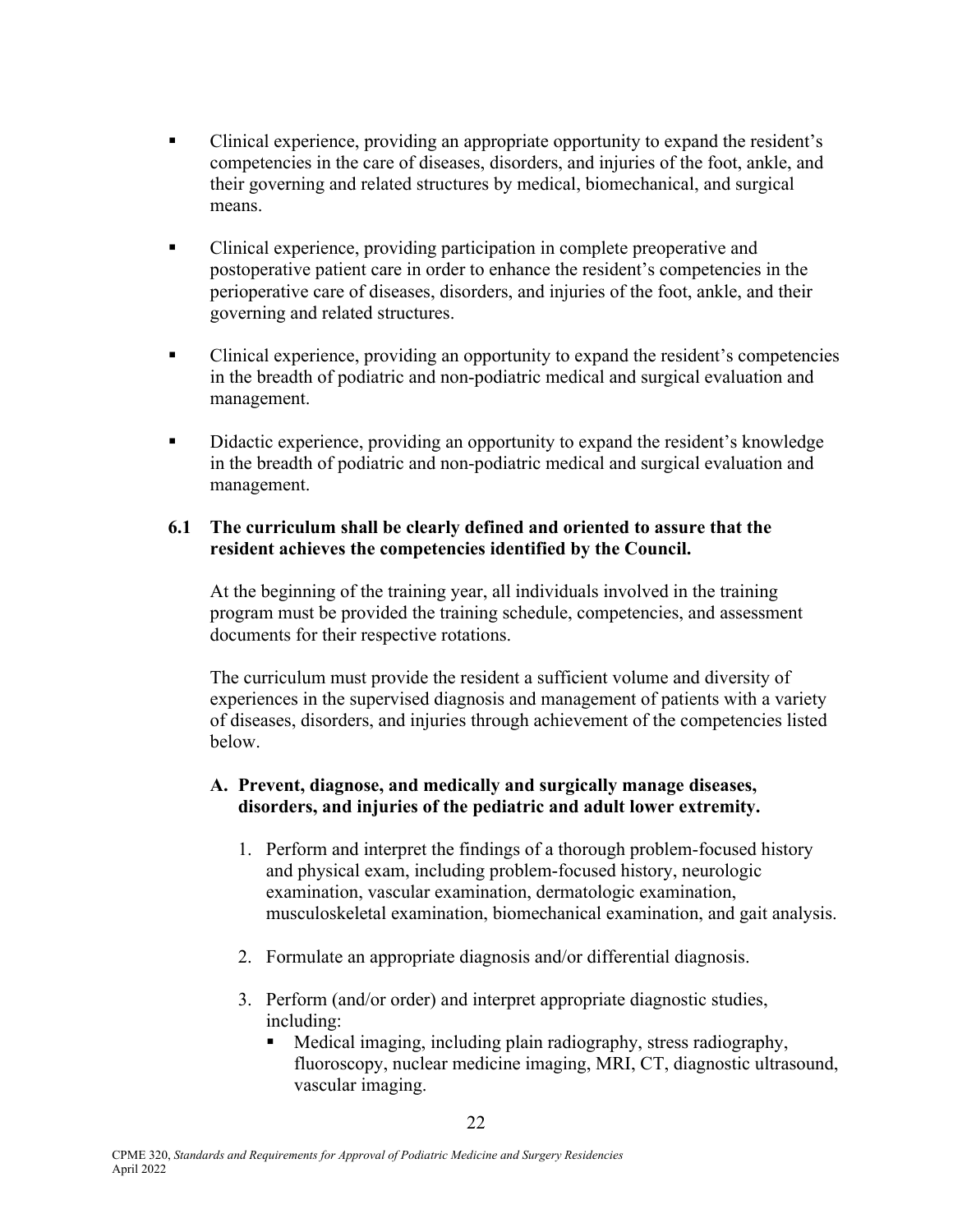- Clinical experience, providing an appropriate opportunity to expand the resident's competencies in the care of diseases, disorders, and injuries of the foot, ankle, and their governing and related structures by medical, biomechanical, and surgical means.
- Clinical experience, providing participation in complete preoperative and postoperative patient care in order to enhance the resident's competencies in the perioperative care of diseases, disorders, and injuries of the foot, ankle, and their governing and related structures.
- Clinical experience, providing an opportunity to expand the resident's competencies in the breadth of podiatric and non-podiatric medical and surgical evaluation and management.
- Didactic experience, providing an opportunity to expand the resident's knowledge in the breadth of podiatric and non-podiatric medical and surgical evaluation and management.

### **6.1 The curriculum shall be clearly defined and oriented to assure that the resident achieves the competencies identified by the Council.**

At the beginning of the training year, all individuals involved in the training program must be provided the training schedule, competencies, and assessment documents for their respective rotations.

 The curriculum must provide the resident a sufficient volume and diversity of experiences in the supervised diagnosis and management of patients with a variety of diseases, disorders, and injuries through achievement of the competencies listed below.

### **A. Prevent, diagnose, and medically and surgically manage diseases, disorders, and injuries of the pediatric and adult lower extremity.**

- 1. Perform and interpret the findings of a thorough problem-focused history and physical exam, including problem-focused history, neurologic examination, vascular examination, dermatologic examination, musculoskeletal examination, biomechanical examination, and gait analysis.
- 2. Formulate an appropriate diagnosis and/or differential diagnosis.
- 3. Perform (and/or order) and interpret appropriate diagnostic studies, including:
	- Medical imaging, including plain radiography, stress radiography, fluoroscopy, nuclear medicine imaging, MRI, CT, diagnostic ultrasound, vascular imaging.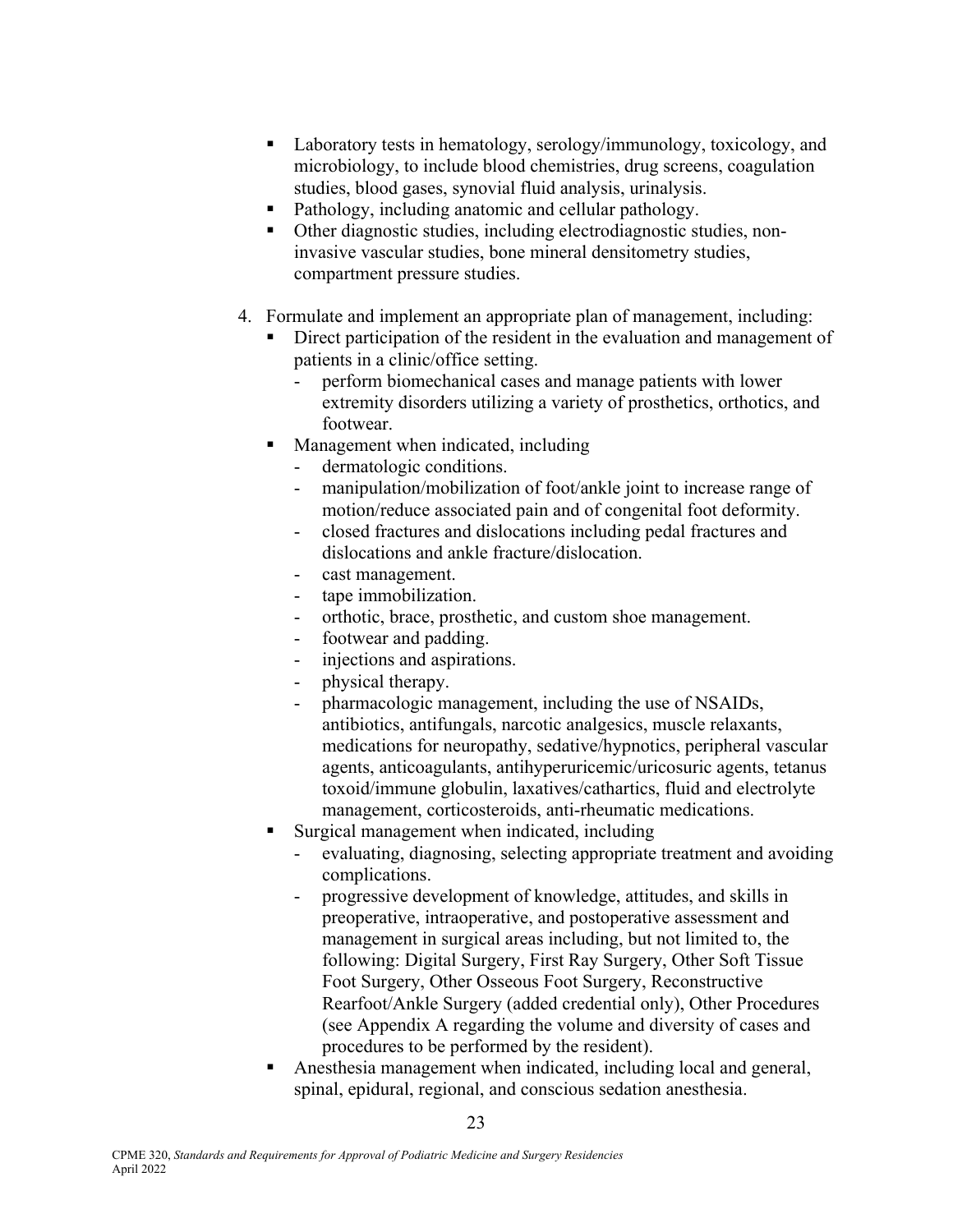- Laboratory tests in hematology, serology/immunology, toxicology, and microbiology, to include blood chemistries, drug screens, coagulation studies, blood gases, synovial fluid analysis, urinalysis.
- Pathology, including anatomic and cellular pathology.
- Other diagnostic studies, including electrodiagnostic studies, noninvasive vascular studies, bone mineral densitometry studies, compartment pressure studies.
- 4. Formulate and implement an appropriate plan of management, including:
	- Direct participation of the resident in the evaluation and management of patients in a clinic/office setting.
		- perform biomechanical cases and manage patients with lower extremity disorders utilizing a variety of prosthetics, orthotics, and footwear.
	- Management when indicated, including
		- dermatologic conditions.
		- manipulation/mobilization of foot/ankle joint to increase range of motion/reduce associated pain and of congenital foot deformity.
		- closed fractures and dislocations including pedal fractures and dislocations and ankle fracture/dislocation.
		- cast management.
		- tape immobilization.
		- orthotic, brace, prosthetic, and custom shoe management.
		- footwear and padding.
		- injections and aspirations.
		- physical therapy.
		- pharmacologic management, including the use of NSAIDs, antibiotics, antifungals, narcotic analgesics, muscle relaxants, medications for neuropathy, sedative/hypnotics, peripheral vascular agents, anticoagulants, antihyperuricemic/uricosuric agents, tetanus toxoid/immune globulin, laxatives/cathartics, fluid and electrolyte management, corticosteroids, anti-rheumatic medications.
	- Surgical management when indicated, including
		- evaluating, diagnosing, selecting appropriate treatment and avoiding complications.
		- progressive development of knowledge, attitudes, and skills in preoperative, intraoperative, and postoperative assessment and management in surgical areas including, but not limited to, the following: Digital Surgery, First Ray Surgery, Other Soft Tissue Foot Surgery, Other Osseous Foot Surgery, Reconstructive Rearfoot/Ankle Surgery (added credential only), Other Procedures (see Appendix A regarding the volume and diversity of cases and procedures to be performed by the resident).
	- Anesthesia management when indicated, including local and general, spinal, epidural, regional, and conscious sedation anesthesia.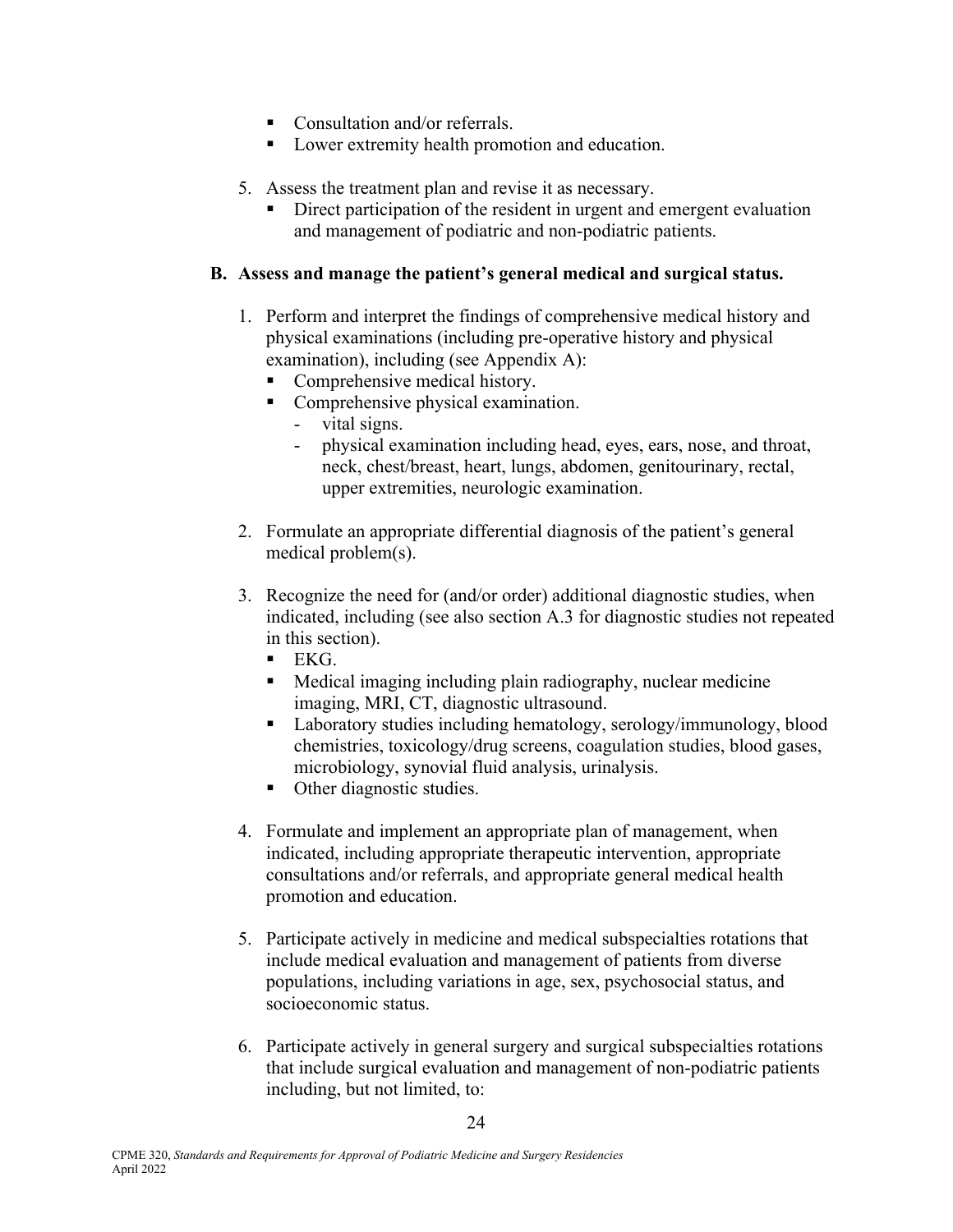- Consultation and/or referrals.
- **Lower extremity health promotion and education.**
- 5. Assess the treatment plan and revise it as necessary.
	- Direct participation of the resident in urgent and emergent evaluation and management of podiatric and non-podiatric patients.

#### **B. Assess and manage the patient's general medical and surgical status.**

- 1. Perform and interpret the findings of comprehensive medical history and physical examinations (including pre-operative history and physical examination), including (see Appendix A):
	- Comprehensive medical history.
	- **Comprehensive physical examination.** 
		- vital signs.
		- physical examination including head, eyes, ears, nose, and throat, neck, chest/breast, heart, lungs, abdomen, genitourinary, rectal, upper extremities, neurologic examination.
- 2. Formulate an appropriate differential diagnosis of the patient's general medical problem(s).
- 3. Recognize the need for (and/or order) additional diagnostic studies, when indicated, including (see also section A.3 for diagnostic studies not repeated in this section).
	- $\blacksquare$  EKG.
	- Medical imaging including plain radiography, nuclear medicine imaging, MRI, CT, diagnostic ultrasound.
	- **Laboratory studies including hematology, serology/immunology, blood** chemistries, toxicology/drug screens, coagulation studies, blood gases, microbiology, synovial fluid analysis, urinalysis.
	- Other diagnostic studies.
- 4. Formulate and implement an appropriate plan of management, when indicated, including appropriate therapeutic intervention, appropriate consultations and/or referrals, and appropriate general medical health promotion and education.
- 5. Participate actively in medicine and medical subspecialties rotations that include medical evaluation and management of patients from diverse populations, including variations in age, sex, psychosocial status, and socioeconomic status.
- 6. Participate actively in general surgery and surgical subspecialties rotations that include surgical evaluation and management of non-podiatric patients including, but not limited, to: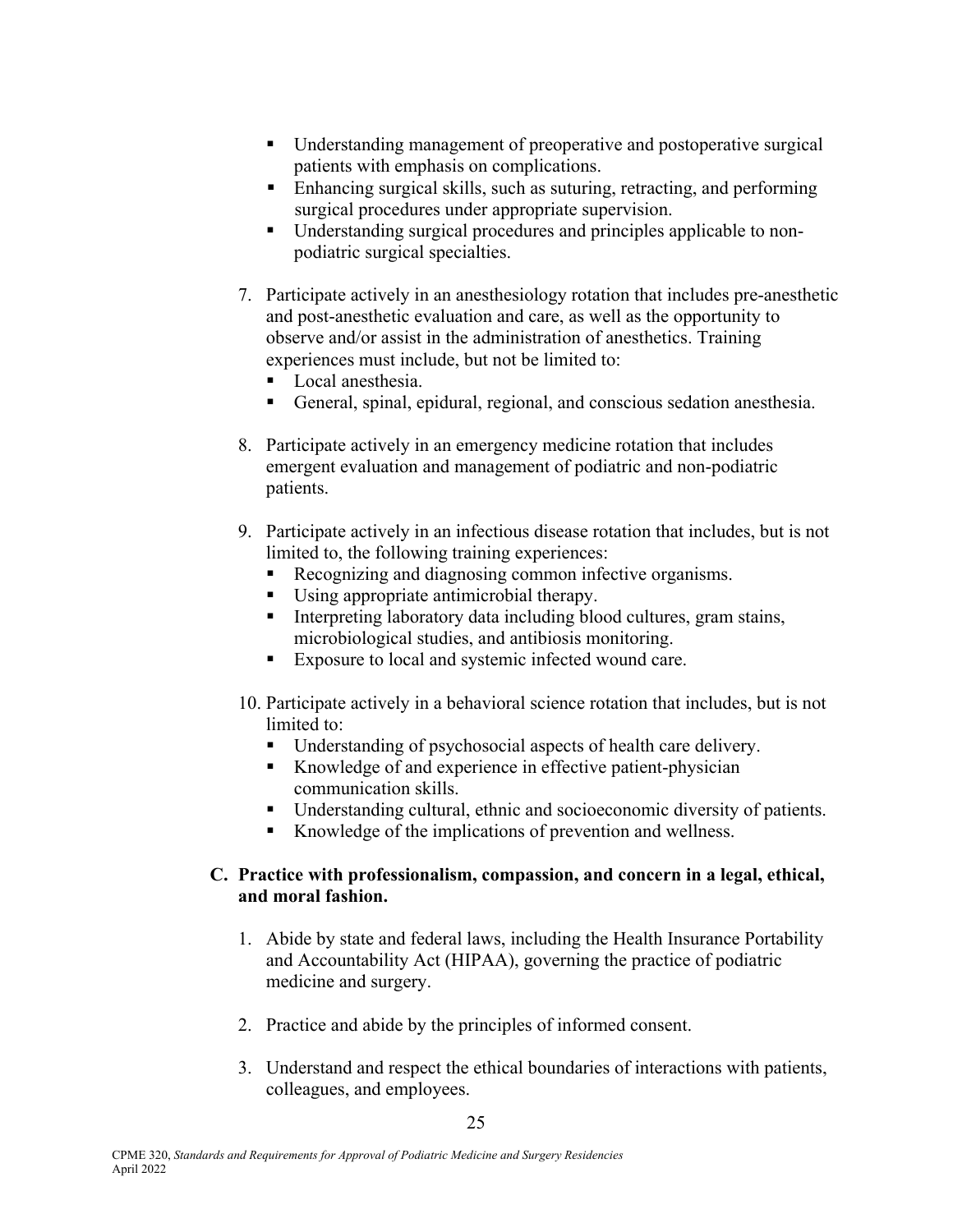- Understanding management of preoperative and postoperative surgical patients with emphasis on complications.
- Enhancing surgical skills, such as suturing, retracting, and performing surgical procedures under appropriate supervision.
- Understanding surgical procedures and principles applicable to nonpodiatric surgical specialties.
- 7. Participate actively in an anesthesiology rotation that includes pre-anesthetic and post-anesthetic evaluation and care, as well as the opportunity to observe and/or assist in the administration of anesthetics. Training experiences must include, but not be limited to:
	- **Local anesthesia.**
	- General, spinal, epidural, regional, and conscious sedation anesthesia.
- 8. Participate actively in an emergency medicine rotation that includes emergent evaluation and management of podiatric and non-podiatric patients.
- 9. Participate actively in an infectious disease rotation that includes, but is not limited to, the following training experiences:
	- Recognizing and diagnosing common infective organisms.
	- Using appropriate antimicrobial therapy.
	- Interpreting laboratory data including blood cultures, gram stains, microbiological studies, and antibiosis monitoring.
	- Exposure to local and systemic infected wound care.
- 10. Participate actively in a behavioral science rotation that includes, but is not limited to:
	- Understanding of psychosocial aspects of health care delivery.
	- Knowledge of and experience in effective patient-physician communication skills.
	- Understanding cultural, ethnic and socioeconomic diversity of patients.
	- Knowledge of the implications of prevention and wellness.

### **C. Practice with professionalism, compassion, and concern in a legal, ethical, and moral fashion.**

- 1. Abide by state and federal laws, including the Health Insurance Portability and Accountability Act (HIPAA), governing the practice of podiatric medicine and surgery.
- 2. Practice and abide by the principles of informed consent.
- 3. Understand and respect the ethical boundaries of interactions with patients, colleagues, and employees.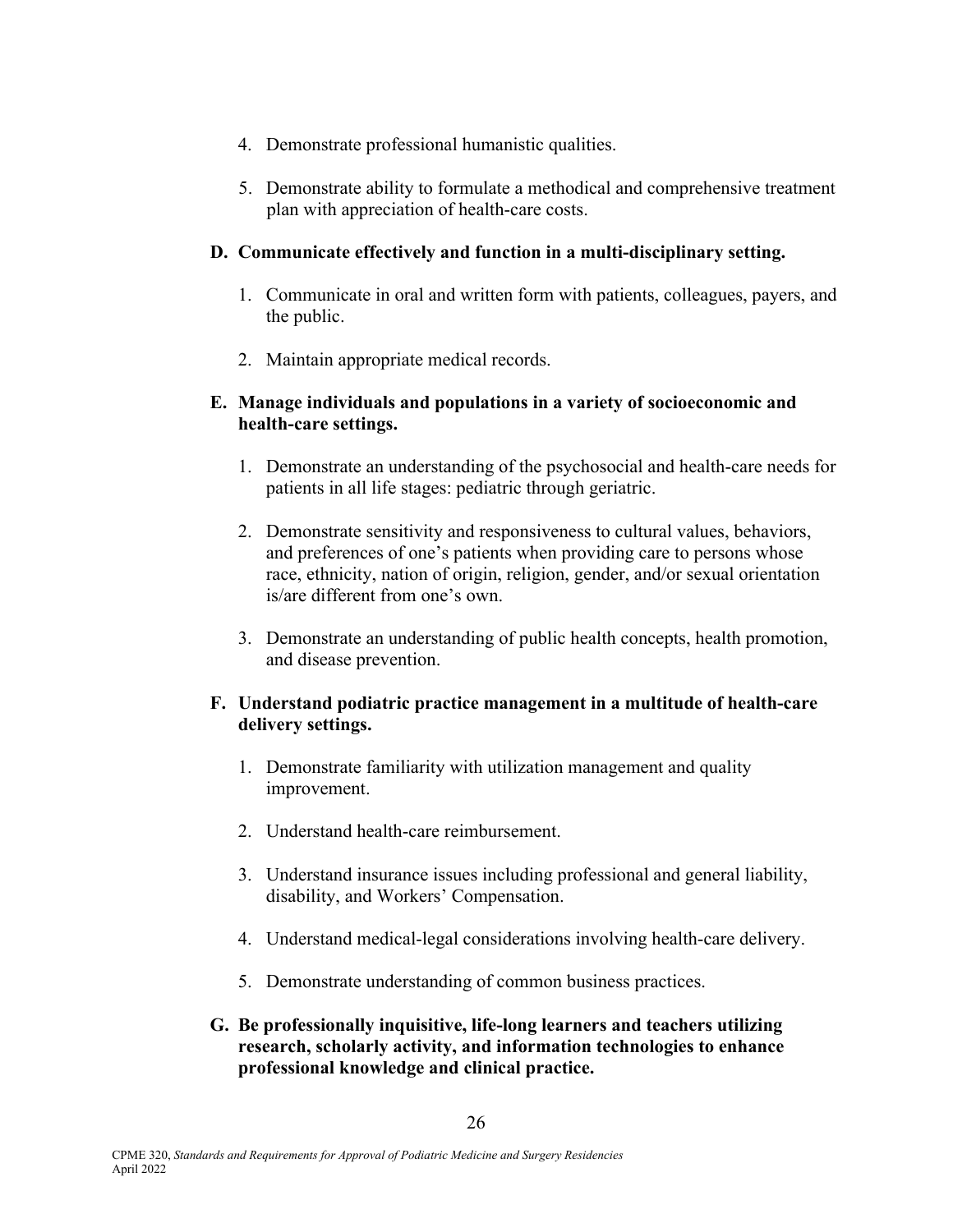- 4. Demonstrate professional humanistic qualities.
- 5. Demonstrate ability to formulate a methodical and comprehensive treatment plan with appreciation of health-care costs.

### **D. Communicate effectively and function in a multi-disciplinary setting.**

- 1. Communicate in oral and written form with patients, colleagues, payers, and the public.
- 2. Maintain appropriate medical records.

### **E. Manage individuals and populations in a variety of socioeconomic and health-care settings.**

- 1. Demonstrate an understanding of the psychosocial and health-care needs for patients in all life stages: pediatric through geriatric.
- 2. Demonstrate sensitivity and responsiveness to cultural values, behaviors, and preferences of one's patients when providing care to persons whose race, ethnicity, nation of origin, religion, gender, and/or sexual orientation is/are different from one's own.
- 3. Demonstrate an understanding of public health concepts, health promotion, and disease prevention.

### **F. Understand podiatric practice management in a multitude of health-care delivery settings.**

- 1. Demonstrate familiarity with utilization management and quality improvement.
- 2. Understand health-care reimbursement.
- 3. Understand insurance issues including professional and general liability, disability, and Workers' Compensation.
- 4. Understand medical-legal considerations involving health-care delivery.
- 5. Demonstrate understanding of common business practices.
- **G. Be professionally inquisitive, life-long learners and teachers utilizing research, scholarly activity, and information technologies to enhance professional knowledge and clinical practice.**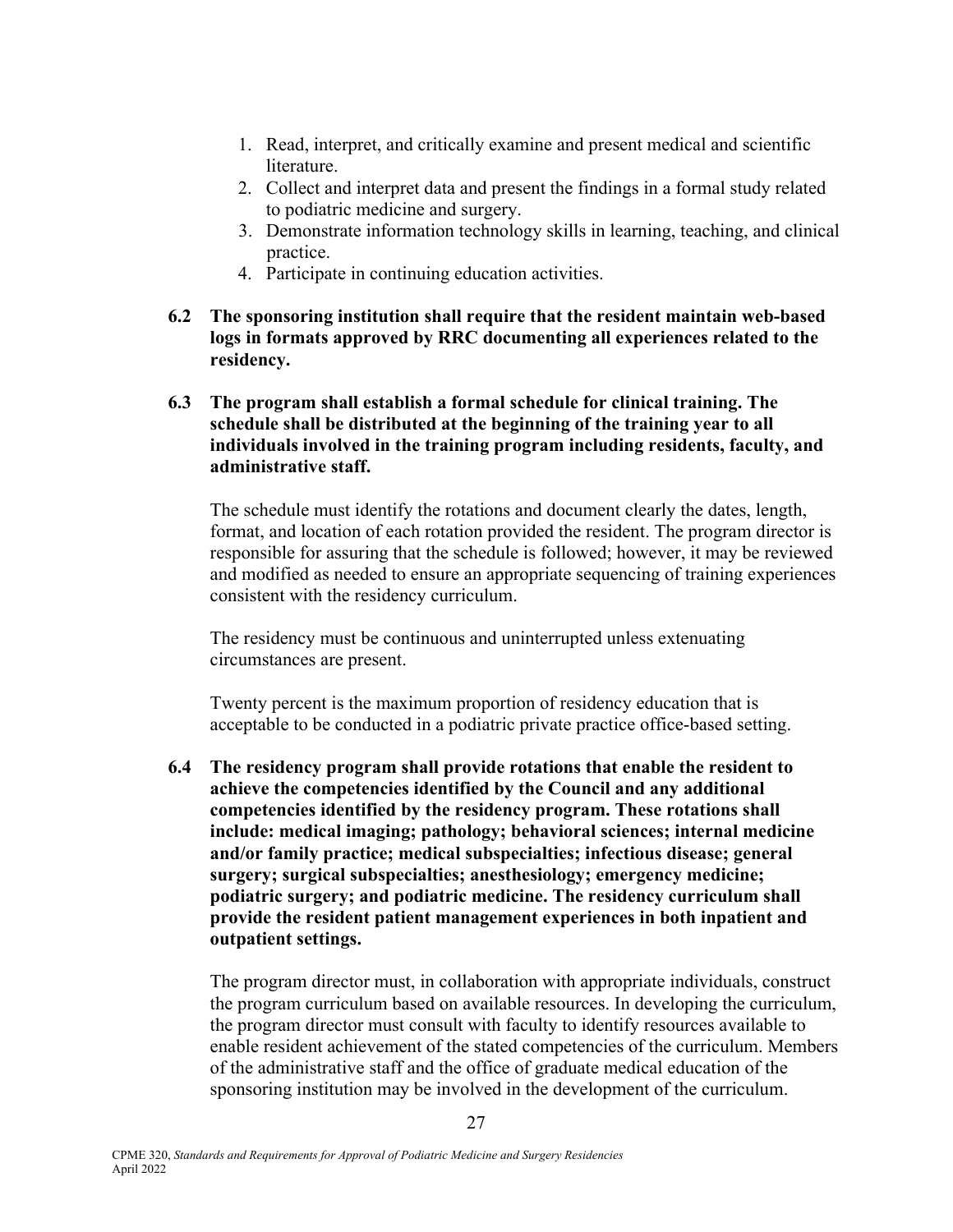- 1. Read, interpret, and critically examine and present medical and scientific literature.
- 2. Collect and interpret data and present the findings in a formal study related to podiatric medicine and surgery.
- 3. Demonstrate information technology skills in learning, teaching, and clinical practice.
- 4. Participate in continuing education activities.
- **6.2 The sponsoring institution shall require that the resident maintain web-based logs in formats approved by RRC documenting all experiences related to the residency.**
- **6.3 The program shall establish a formal schedule for clinical training. The schedule shall be distributed at the beginning of the training year to all individuals involved in the training program including residents, faculty, and administrative staff.**

 The schedule must identify the rotations and document clearly the dates, length, format, and location of each rotation provided the resident. The program director is responsible for assuring that the schedule is followed; however, it may be reviewed and modified as needed to ensure an appropriate sequencing of training experiences consistent with the residency curriculum.

 The residency must be continuous and uninterrupted unless extenuating circumstances are present.

 Twenty percent is the maximum proportion of residency education that is acceptable to be conducted in a podiatric private practice office-based setting.

**6.4 The residency program shall provide rotations that enable the resident to achieve the competencies identified by the Council and any additional competencies identified by the residency program. These rotations shall include: medical imaging; pathology; behavioral sciences; internal medicine and/or family practice; medical subspecialties; infectious disease; general surgery; surgical subspecialties; anesthesiology; emergency medicine; podiatric surgery; and podiatric medicine. The residency curriculum shall provide the resident patient management experiences in both inpatient and outpatient settings.**

The program director must, in collaboration with appropriate individuals, construct the program curriculum based on available resources. In developing the curriculum, the program director must consult with faculty to identify resources available to enable resident achievement of the stated competencies of the curriculum. Members of the administrative staff and the office of graduate medical education of the sponsoring institution may be involved in the development of the curriculum.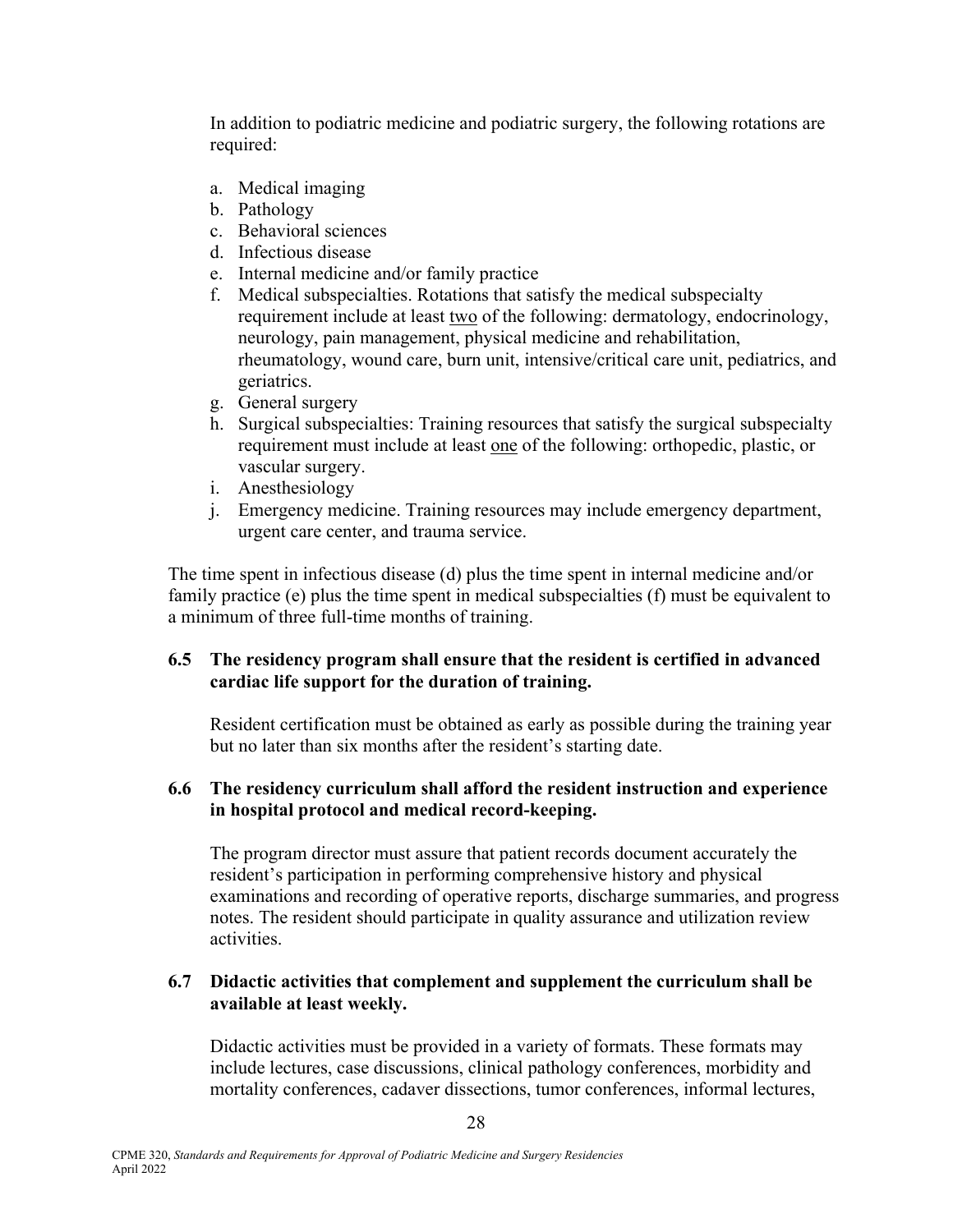In addition to podiatric medicine and podiatric surgery, the following rotations are required:

- a. Medical imaging
- b. Pathology
- c. Behavioral sciences
- d. Infectious disease
- e. Internal medicine and/or family practice
- f. Medical subspecialties. Rotations that satisfy the medical subspecialty requirement include at least two of the following: dermatology, endocrinology, neurology, pain management, physical medicine and rehabilitation, rheumatology, wound care, burn unit, intensive/critical care unit, pediatrics, and geriatrics.
- g. General surgery
- h. Surgical subspecialties: Training resources that satisfy the surgical subspecialty requirement must include at least one of the following: orthopedic, plastic, or vascular surgery.
- i. Anesthesiology
- j. Emergency medicine. Training resources may include emergency department, urgent care center, and trauma service.

The time spent in infectious disease (d) plus the time spent in internal medicine and/or family practice (e) plus the time spent in medical subspecialties (f) must be equivalent to a minimum of three full-time months of training.

#### **6.5 The residency program shall ensure that the resident is certified in advanced cardiac life support for the duration of training.**

 Resident certification must be obtained as early as possible during the training year but no later than six months after the resident's starting date.

### **6.6 The residency curriculum shall afford the resident instruction and experience in hospital protocol and medical record-keeping.**

 The program director must assure that patient records document accurately the resident's participation in performing comprehensive history and physical examinations and recording of operative reports, discharge summaries, and progress notes. The resident should participate in quality assurance and utilization review activities.

#### **6.7 Didactic activities that complement and supplement the curriculum shall be available at least weekly.**

 Didactic activities must be provided in a variety of formats. These formats may include lectures, case discussions, clinical pathology conferences, morbidity and mortality conferences, cadaver dissections, tumor conferences, informal lectures,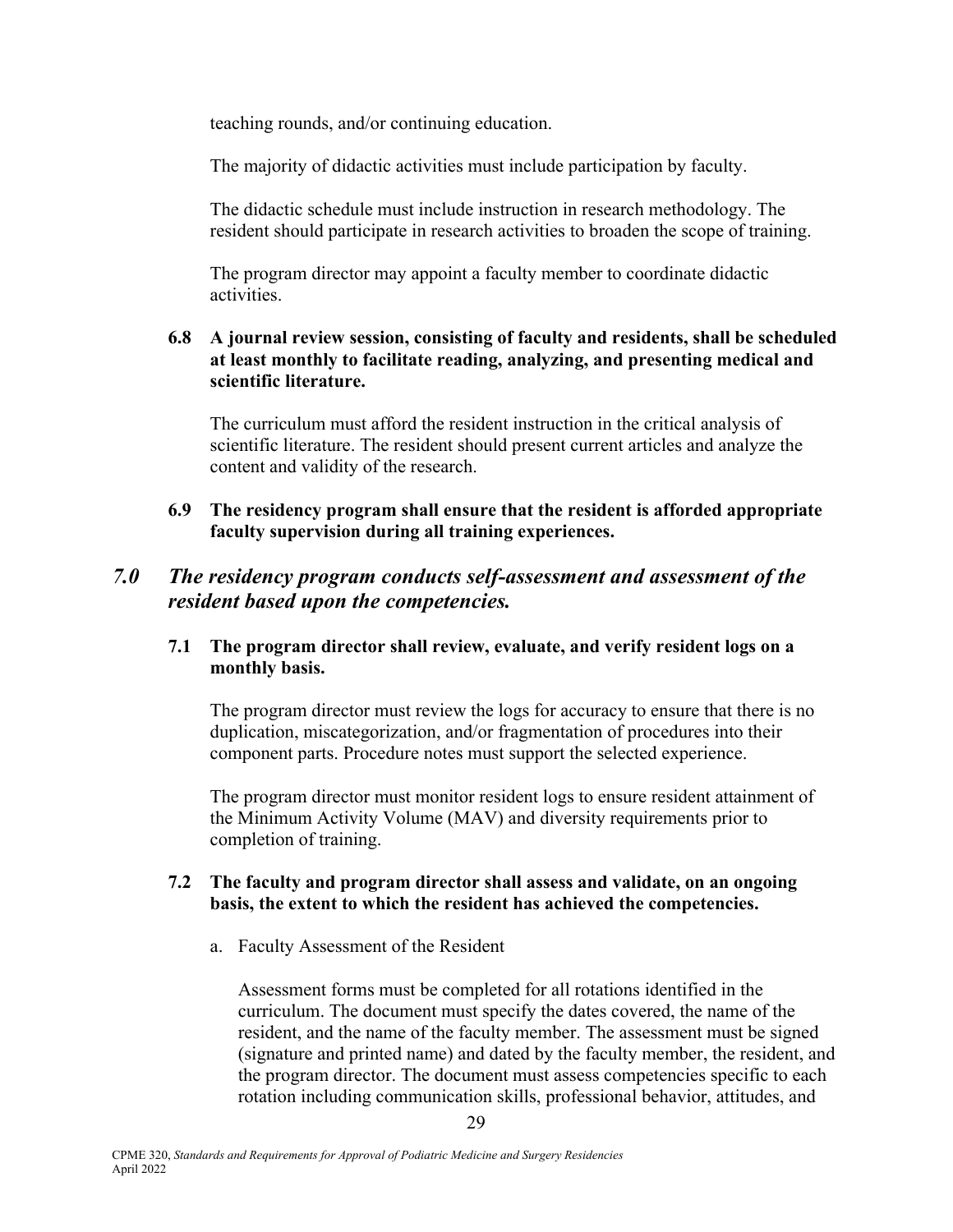teaching rounds, and/or continuing education.

The majority of didactic activities must include participation by faculty.

 The didactic schedule must include instruction in research methodology. The resident should participate in research activities to broaden the scope of training.

 The program director may appoint a faculty member to coordinate didactic activities.

#### **6.8 A journal review session, consisting of faculty and residents, shall be scheduled at least monthly to facilitate reading, analyzing, and presenting medical and scientific literature.**

 The curriculum must afford the resident instruction in the critical analysis of scientific literature. The resident should present current articles and analyze the content and validity of the research.

#### **6.9 The residency program shall ensure that the resident is afforded appropriate faculty supervision during all training experiences.**

### *7.0 The residency program conducts self-assessment and assessment of the resident based upon the competencies.*

#### **7.1 The program director shall review, evaluate, and verify resident logs on a monthly basis.**

The program director must review the logs for accuracy to ensure that there is no duplication, miscategorization, and/or fragmentation of procedures into their component parts. Procedure notes must support the selected experience.

 The program director must monitor resident logs to ensure resident attainment of the Minimum Activity Volume (MAV) and diversity requirements prior to completion of training.

#### **7.2 The faculty and program director shall assess and validate, on an ongoing basis, the extent to which the resident has achieved the competencies.**

a. Faculty Assessment of the Resident

Assessment forms must be completed for all rotations identified in the curriculum. The document must specify the dates covered, the name of the resident, and the name of the faculty member. The assessment must be signed (signature and printed name) and dated by the faculty member, the resident, and the program director. The document must assess competencies specific to each rotation including communication skills, professional behavior, attitudes, and

April 2022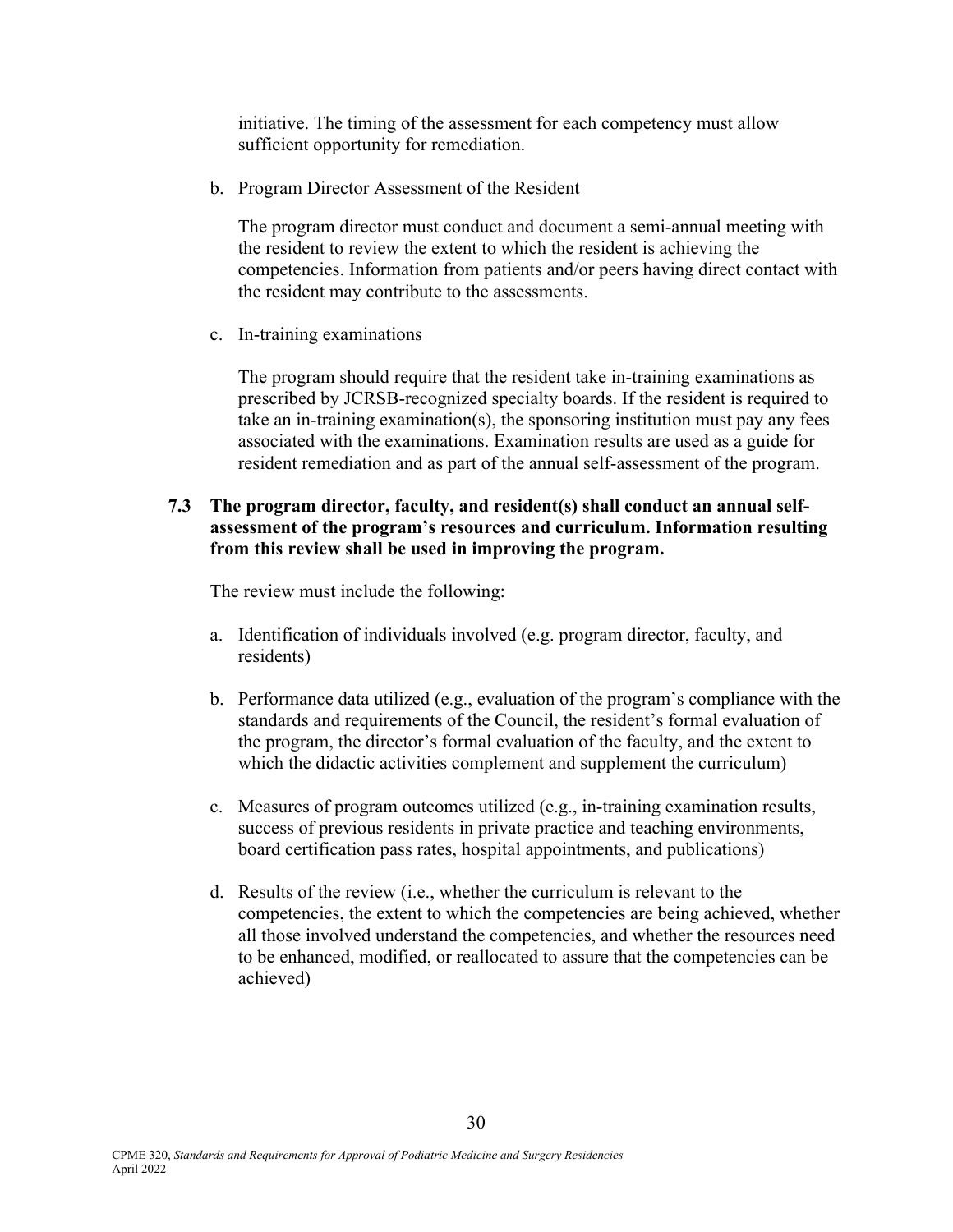initiative. The timing of the assessment for each competency must allow sufficient opportunity for remediation.

b. Program Director Assessment of the Resident

The program director must conduct and document a semi-annual meeting with the resident to review the extent to which the resident is achieving the competencies. Information from patients and/or peers having direct contact with the resident may contribute to the assessments.

c. In-training examinations

The program should require that the resident take in-training examinations as prescribed by JCRSB-recognized specialty boards. If the resident is required to take an in-training examination(s), the sponsoring institution must pay any fees associated with the examinations. Examination results are used as a guide for resident remediation and as part of the annual self-assessment of the program.

#### **7.3 The program director, faculty, and resident(s) shall conduct an annual selfassessment of the program's resources and curriculum. Information resulting from this review shall be used in improving the program.**

The review must include the following:

- a. Identification of individuals involved (e.g. program director, faculty, and residents)
- b. Performance data utilized (e.g., evaluation of the program's compliance with the standards and requirements of the Council, the resident's formal evaluation of the program, the director's formal evaluation of the faculty, and the extent to which the didactic activities complement and supplement the curriculum)
- c. Measures of program outcomes utilized (e.g., in-training examination results, success of previous residents in private practice and teaching environments, board certification pass rates, hospital appointments, and publications)
- d. Results of the review (i.e., whether the curriculum is relevant to the competencies, the extent to which the competencies are being achieved, whether all those involved understand the competencies, and whether the resources need to be enhanced, modified, or reallocated to assure that the competencies can be achieved)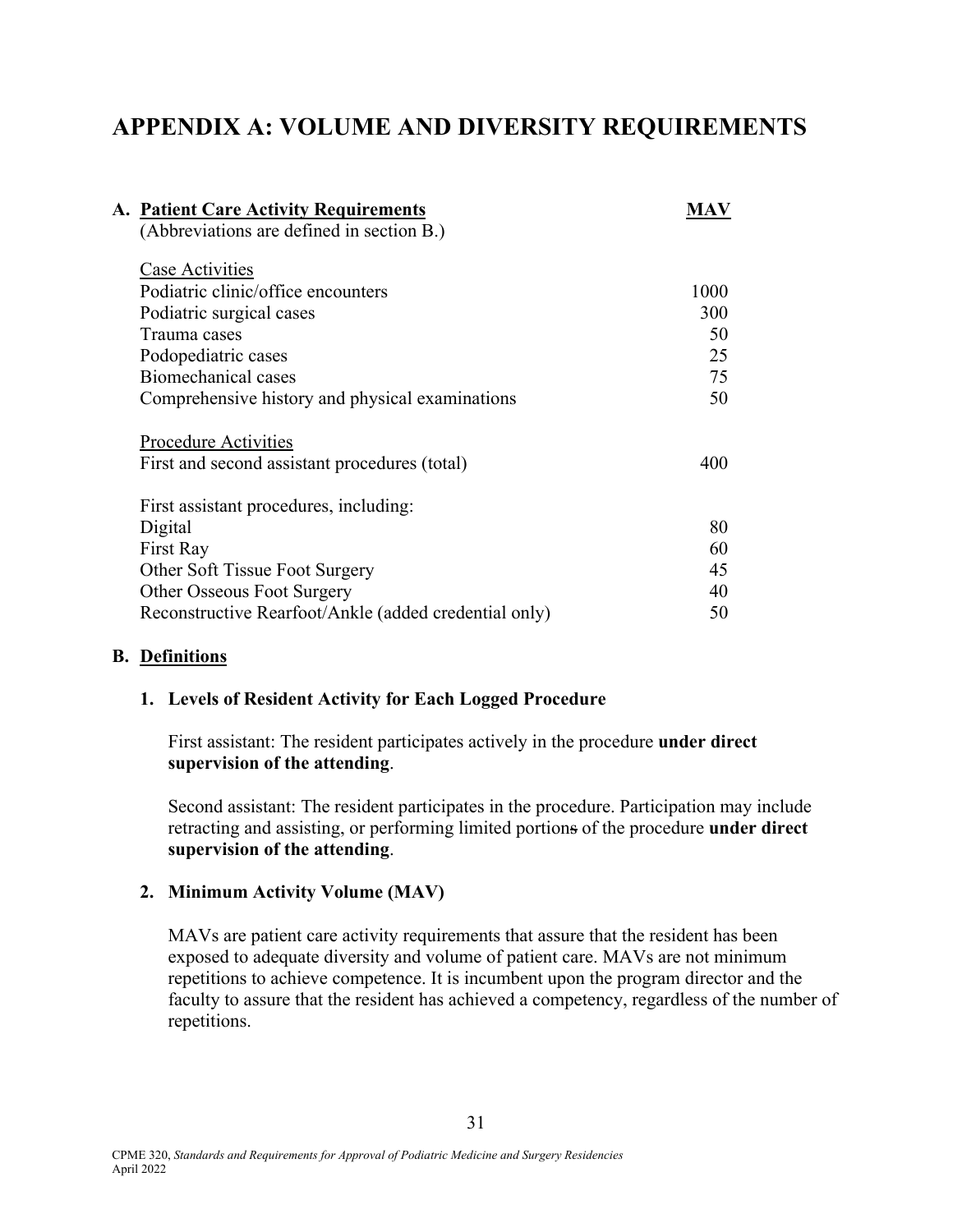# **APPENDIX A: VOLUME AND DIVERSITY REQUIREMENTS**

| MAV  |
|------|
|      |
|      |
| 1000 |
| 300  |
| 50   |
| 25   |
| 75   |
| 50   |
|      |
| 400  |
|      |
| 80   |
| 60   |
| 45   |
| 40   |
| 50   |
|      |

#### **B. Definitions**

#### **1. Levels of Resident Activity for Each Logged Procedure**

First assistant: The resident participates actively in the procedure **under direct supervision of the attending**.

Second assistant: The resident participates in the procedure. Participation may include retracting and assisting, or performing limited portions of the procedure **under direct supervision of the attending**.

#### **2. Minimum Activity Volume (MAV)**

MAVs are patient care activity requirements that assure that the resident has been exposed to adequate diversity and volume of patient care. MAVs are not minimum repetitions to achieve competence. It is incumbent upon the program director and the faculty to assure that the resident has achieved a competency, regardless of the number of repetitions.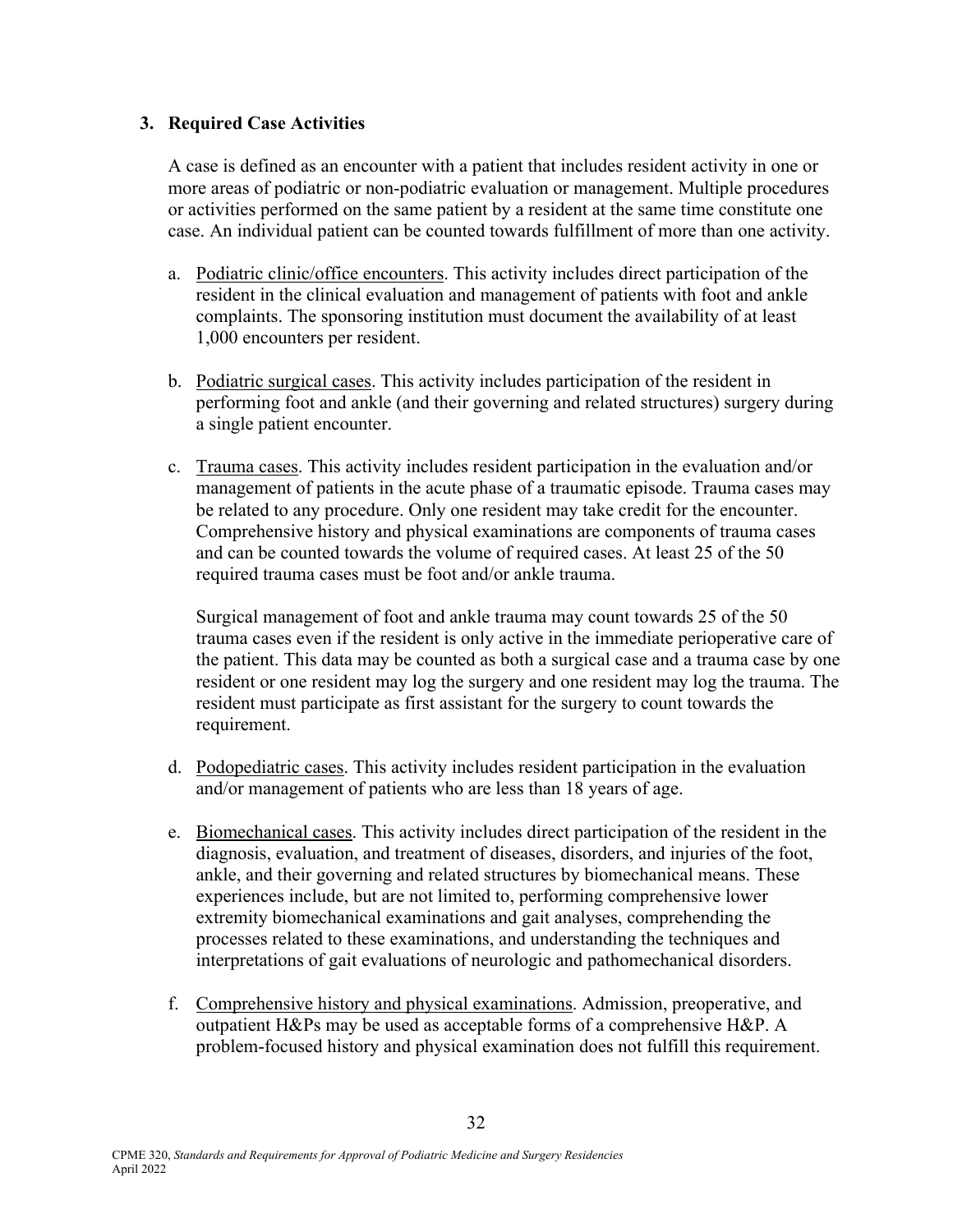#### **3. Required Case Activities**

A case is defined as an encounter with a patient that includes resident activity in one or more areas of podiatric or non-podiatric evaluation or management. Multiple procedures or activities performed on the same patient by a resident at the same time constitute one case. An individual patient can be counted towards fulfillment of more than one activity.

- a. Podiatric clinic/office encounters. This activity includes direct participation of the resident in the clinical evaluation and management of patients with foot and ankle complaints. The sponsoring institution must document the availability of at least 1,000 encounters per resident.
- b. Podiatric surgical cases. This activity includes participation of the resident in performing foot and ankle (and their governing and related structures) surgery during a single patient encounter.
- c. Trauma cases. This activity includes resident participation in the evaluation and/or management of patients in the acute phase of a traumatic episode. Trauma cases may be related to any procedure. Only one resident may take credit for the encounter. Comprehensive history and physical examinations are components of trauma cases and can be counted towards the volume of required cases. At least 25 of the 50 required trauma cases must be foot and/or ankle trauma.

Surgical management of foot and ankle trauma may count towards 25 of the 50 trauma cases even if the resident is only active in the immediate perioperative care of the patient. This data may be counted as both a surgical case and a trauma case by one resident or one resident may log the surgery and one resident may log the trauma. The resident must participate as first assistant for the surgery to count towards the requirement.

- d. Podopediatric cases. This activity includes resident participation in the evaluation and/or management of patients who are less than 18 years of age.
- e. Biomechanical cases. This activity includes direct participation of the resident in the diagnosis, evaluation, and treatment of diseases, disorders, and injuries of the foot, ankle, and their governing and related structures by biomechanical means. These experiences include, but are not limited to, performing comprehensive lower extremity biomechanical examinations and gait analyses, comprehending the processes related to these examinations, and understanding the techniques and interpretations of gait evaluations of neurologic and pathomechanical disorders.
- f. Comprehensive history and physical examinations. Admission, preoperative, and outpatient H&Ps may be used as acceptable forms of a comprehensive H&P. A problem-focused history and physical examination does not fulfill this requirement.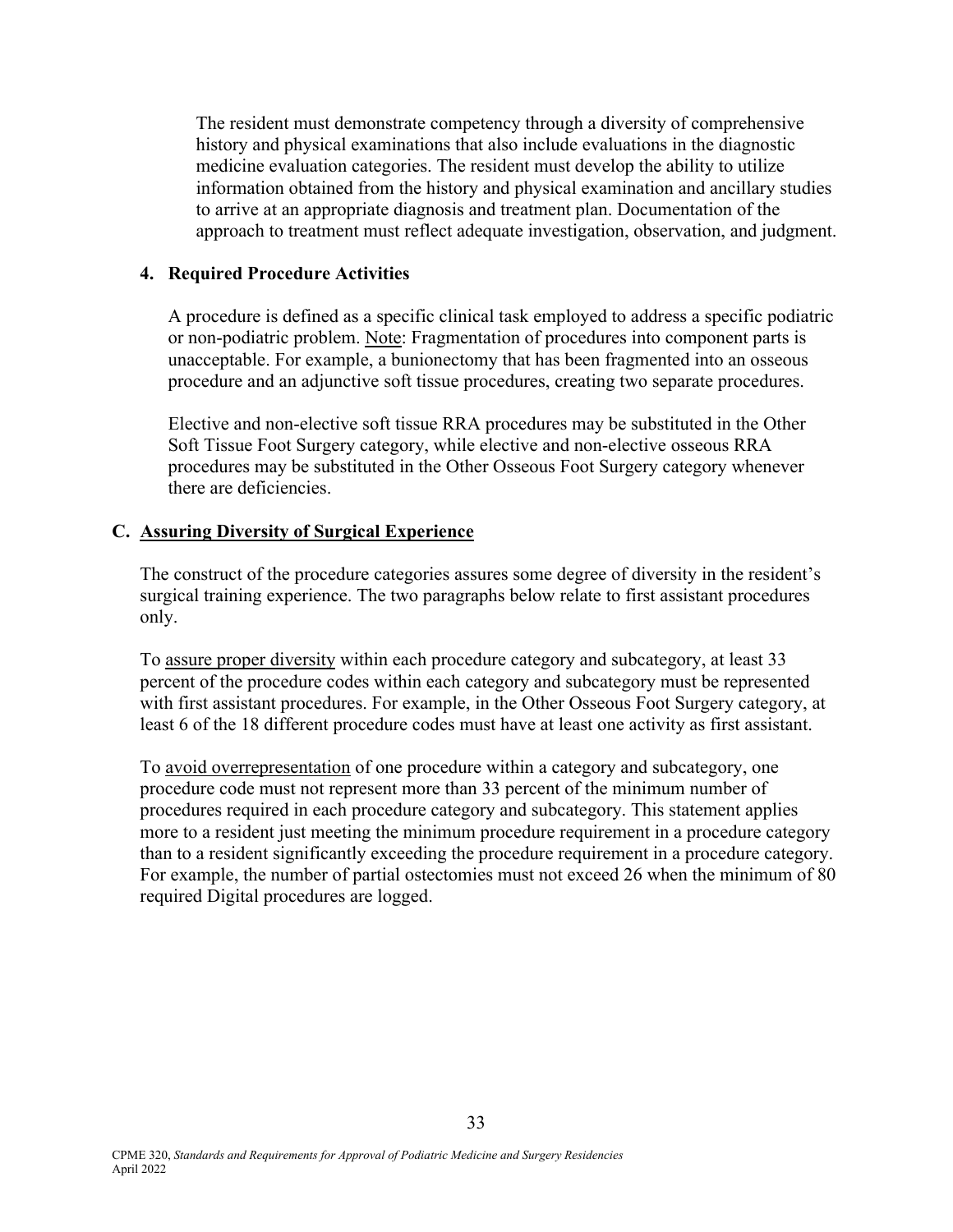The resident must demonstrate competency through a diversity of comprehensive history and physical examinations that also include evaluations in the diagnostic medicine evaluation categories. The resident must develop the ability to utilize information obtained from the history and physical examination and ancillary studies to arrive at an appropriate diagnosis and treatment plan. Documentation of the approach to treatment must reflect adequate investigation, observation, and judgment.

#### **4. Required Procedure Activities**

 A procedure is defined as a specific clinical task employed to address a specific podiatric or non-podiatric problem. Note: Fragmentation of procedures into component parts is unacceptable. For example, a bunionectomy that has been fragmented into an osseous procedure and an adjunctive soft tissue procedures, creating two separate procedures.

Elective and non-elective soft tissue RRA procedures may be substituted in the Other Soft Tissue Foot Surgery category, while elective and non-elective osseous RRA procedures may be substituted in the Other Osseous Foot Surgery category whenever there are deficiencies.

#### **C. Assuring Diversity of Surgical Experience**

 The construct of the procedure categories assures some degree of diversity in the resident's surgical training experience. The two paragraphs below relate to first assistant procedures only.

 To assure proper diversity within each procedure category and subcategory, at least 33 percent of the procedure codes within each category and subcategory must be represented with first assistant procedures. For example, in the Other Osseous Foot Surgery category, at least 6 of the 18 different procedure codes must have at least one activity as first assistant.

 To avoid overrepresentation of one procedure within a category and subcategory, one procedure code must not represent more than 33 percent of the minimum number of procedures required in each procedure category and subcategory. This statement applies more to a resident just meeting the minimum procedure requirement in a procedure category than to a resident significantly exceeding the procedure requirement in a procedure category. For example, the number of partial ostectomies must not exceed 26 when the minimum of 80 required Digital procedures are logged.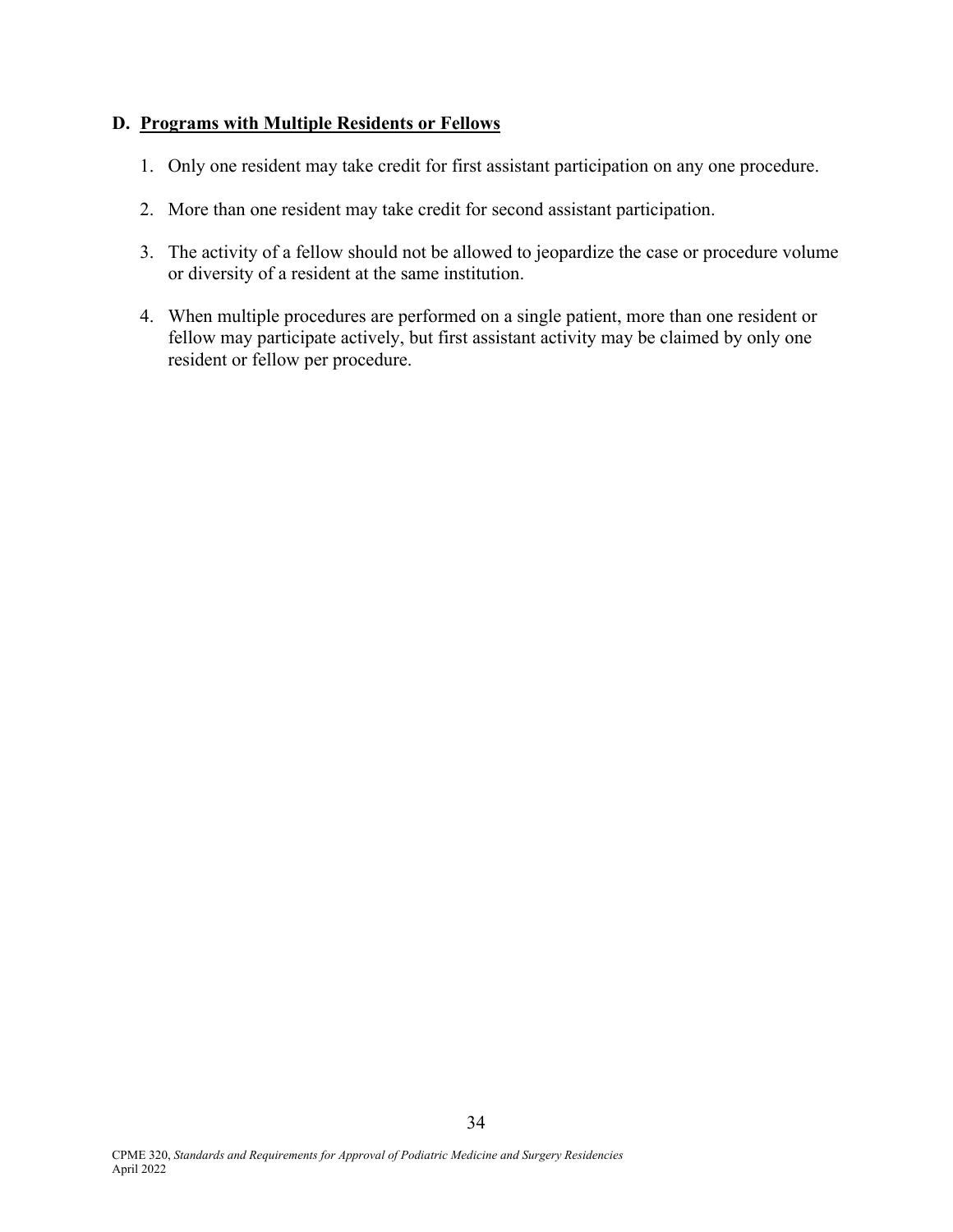#### **D. Programs with Multiple Residents or Fellows**

- 1. Only one resident may take credit for first assistant participation on any one procedure.
- 2. More than one resident may take credit for second assistant participation.
- 3. The activity of a fellow should not be allowed to jeopardize the case or procedure volume or diversity of a resident at the same institution.
- 4. When multiple procedures are performed on a single patient, more than one resident or fellow may participate actively, but first assistant activity may be claimed by only one resident or fellow per procedure.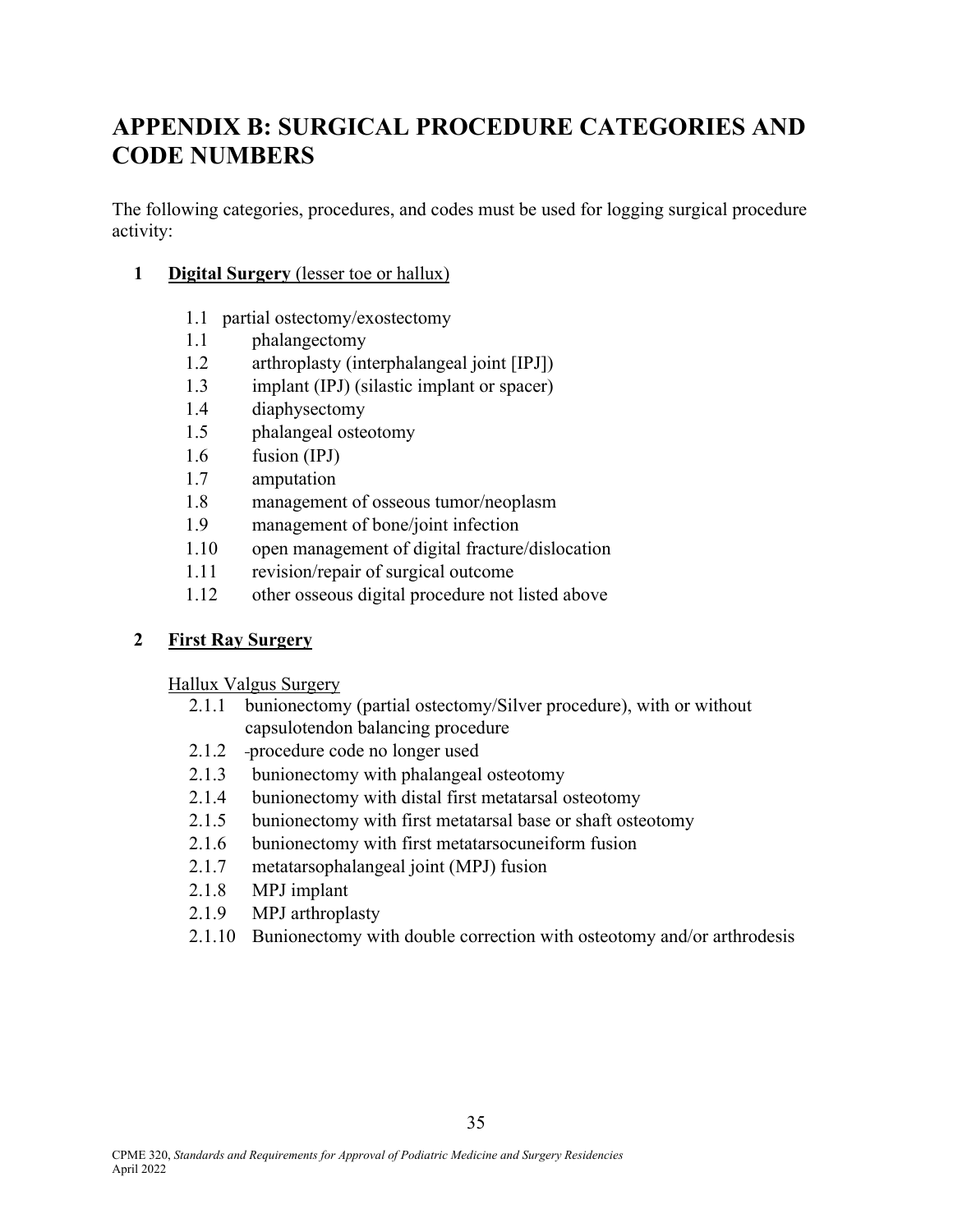# **APPENDIX B: SURGICAL PROCEDURE CATEGORIES AND CODE NUMBERS**

The following categories, procedures, and codes must be used for logging surgical procedure activity:

- **1 Digital Surgery** (lesser toe or hallux)
	- 1.1 partial ostectomy/exostectomy
	- 1.1 phalangectomy
	- 1.2 arthroplasty (interphalangeal joint [IPJ])
	- 1.3 implant (IPJ) (silastic implant or spacer)
	- 1.4 diaphysectomy
	- 1.5 phalangeal osteotomy
	- 1.6 fusion (IPJ)
	- 1.7 amputation
	- 1.8 management of osseous tumor/neoplasm
	- 1.9 management of bone/joint infection
	- 1.10 open management of digital fracture/dislocation
	- 1.11 revision/repair of surgical outcome
	- 1.12 other osseous digital procedure not listed above

### **2 First Ray Surgery**

Hallux Valgus Surgery

- 2.1.1 bunionectomy (partial ostectomy/Silver procedure), with or without capsulotendon balancing procedure
- 2.1.2 procedure code no longer used
- 2.1.3 bunionectomy with phalangeal osteotomy
- 2.1.4 bunionectomy with distal first metatarsal osteotomy
- 2.1.5 bunionectomy with first metatarsal base or shaft osteotomy
- 2.1.6 bunionectomy with first metatarsocuneiform fusion
- 2.1.7 metatarsophalangeal joint (MPJ) fusion
- 2.1.8 MPJ implant
- 2.1.9 MPJ arthroplasty
- 2.1.10 Bunionectomy with double correction with osteotomy and/or arthrodesis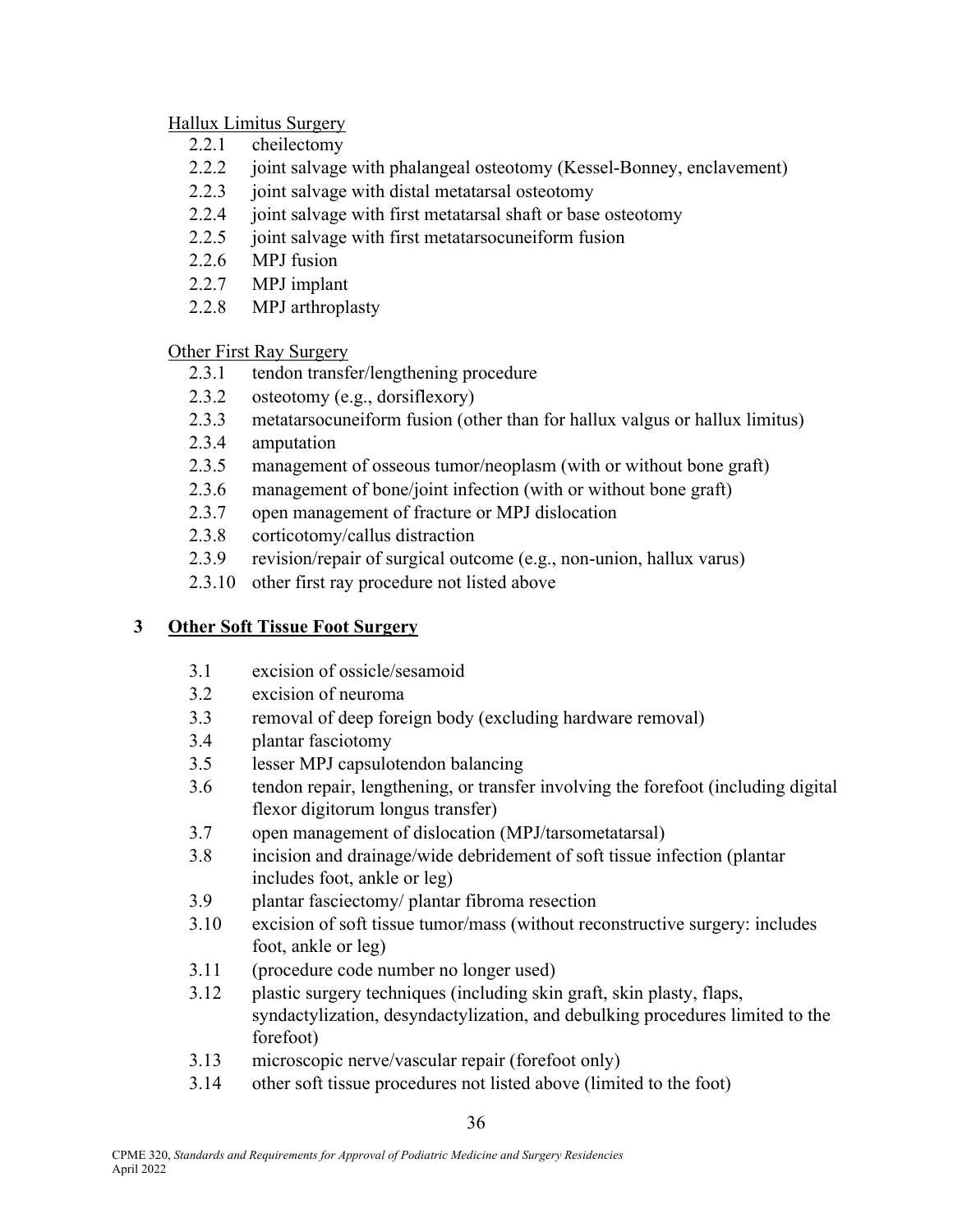#### Hallux Limitus Surgery

- 2.2.1 cheilectomy
- 2.2.2 joint salvage with phalangeal osteotomy (Kessel-Bonney, enclavement)
- 2.2.3 joint salvage with distal metatarsal osteotomy
- 2.2.4 joint salvage with first metatarsal shaft or base osteotomy
- 2.2.5 joint salvage with first metatarsocuneiform fusion
- 2.2.6 MPJ fusion
- 2.2.7 MPJ implant
- 2.2.8 MPJ arthroplasty

#### Other First Ray Surgery

- 2.3.1 tendon transfer/lengthening procedure
- 2.3.2 osteotomy (e.g., dorsiflexory)
- 2.3.3 metatarsocuneiform fusion (other than for hallux valgus or hallux limitus)
- 2.3.4 amputation
- 2.3.5 management of osseous tumor/neoplasm (with or without bone graft)
- 2.3.6 management of bone/joint infection (with or without bone graft)
- 2.3.7 open management of fracture or MPJ dislocation
- 2.3.8 corticotomy/callus distraction
- 2.3.9 revision/repair of surgical outcome (e.g., non-union, hallux varus)
- 2.3.10 other first ray procedure not listed above

### **3 Other Soft Tissue Foot Surgery**

- 3.1 excision of ossicle/sesamoid
- 3.2 excision of neuroma
- 3.3 removal of deep foreign body (excluding hardware removal)
- 3.4 plantar fasciotomy
- 3.5 lesser MPJ capsulotendon balancing
- 3.6 tendon repair, lengthening, or transfer involving the forefoot (including digital flexor digitorum longus transfer)
- 3.7 open management of dislocation (MPJ/tarsometatarsal)
- 3.8 incision and drainage/wide debridement of soft tissue infection (plantar includes foot, ankle or leg)
- 3.9 plantar fasciectomy/ plantar fibroma resection
- 3.10 excision of soft tissue tumor/mass (without reconstructive surgery: includes foot, ankle or leg)
- 3.11 (procedure code number no longer used)
- 3.12 plastic surgery techniques (including skin graft, skin plasty, flaps, syndactylization, desyndactylization, and debulking procedures limited to the forefoot)
- 3.13 microscopic nerve/vascular repair (forefoot only)
- 3.14 other soft tissue procedures not listed above (limited to the foot)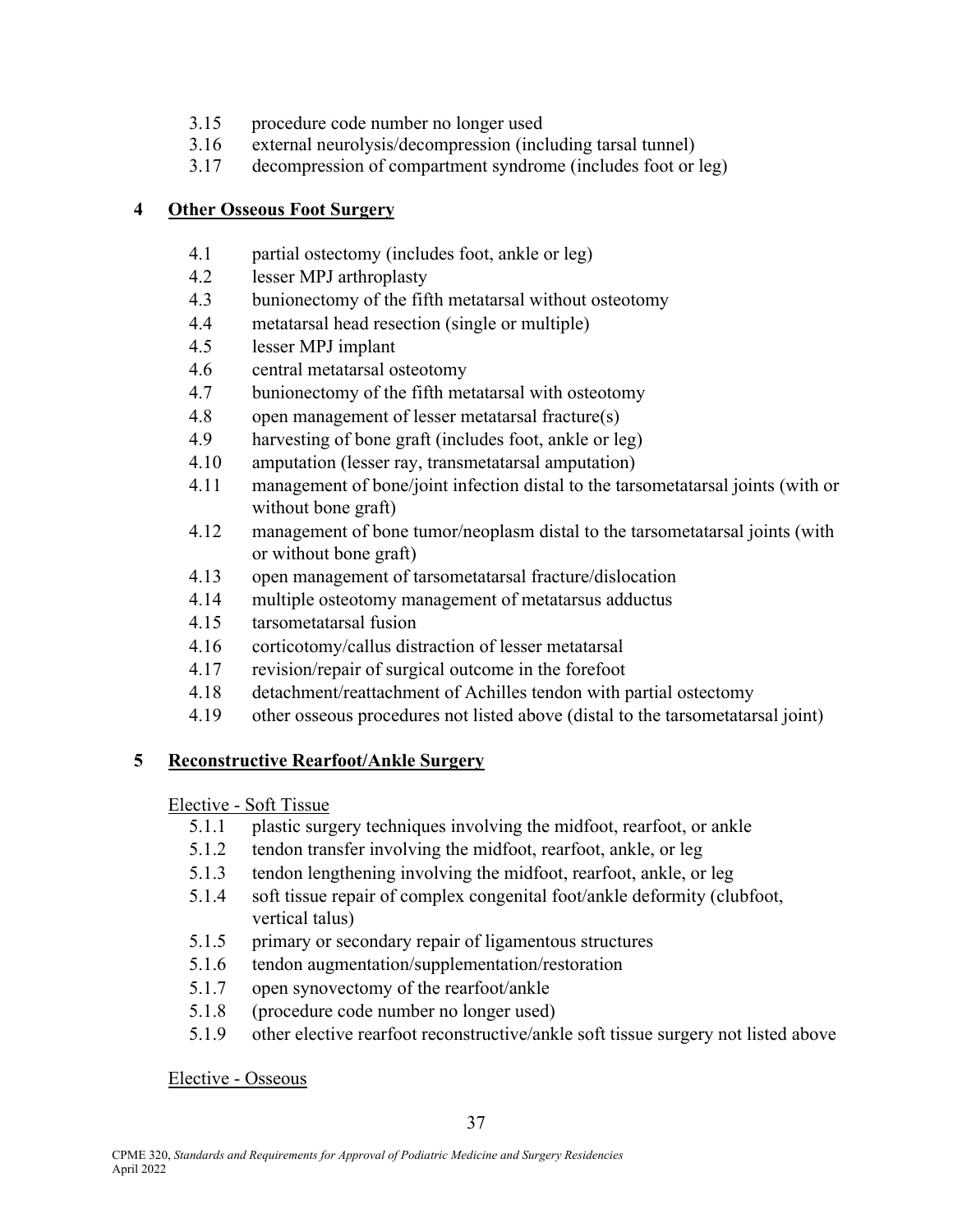- 3.15 procedure code number no longer used
- 3.16 external neurolysis/decompression (including tarsal tunnel)
- 3.17 decompression of compartment syndrome (includes foot or leg)

### **4 Other Osseous Foot Surgery**

- 4.1 partial ostectomy (includes foot, ankle or leg)
- 4.2 lesser MPJ arthroplasty
- 4.3 bunionectomy of the fifth metatarsal without osteotomy
- 4.4 metatarsal head resection (single or multiple)
- 4.5 lesser MPJ implant
- 4.6 central metatarsal osteotomy
- 4.7 bunionectomy of the fifth metatarsal with osteotomy
- 4.8 open management of lesser metatarsal fracture(s)
- 4.9 harvesting of bone graft (includes foot, ankle or leg)
- 4.10 amputation (lesser ray, transmetatarsal amputation)
- 4.11 management of bone/joint infection distal to the tarsometatarsal joints (with or without bone graft)
- 4.12 management of bone tumor/neoplasm distal to the tarsometatarsal joints (with or without bone graft)
- 4.13 open management of tarsometatarsal fracture/dislocation
- 4.14 multiple osteotomy management of metatarsus adductus
- 4.15 tarsometatarsal fusion
- 4.16 corticotomy/callus distraction of lesser metatarsal
- 4.17 revision/repair of surgical outcome in the forefoot
- 4.18 detachment/reattachment of Achilles tendon with partial ostectomy
- 4.19 other osseous procedures not listed above (distal to the tarsometatarsal joint)

### **5 Reconstructive Rearfoot/Ankle Surgery**

Elective - Soft Tissue

- 5.1.1 plastic surgery techniques involving the midfoot, rearfoot, or ankle
- 5.1.2 tendon transfer involving the midfoot, rearfoot, ankle, or leg
- 5.1.3 tendon lengthening involving the midfoot, rearfoot, ankle, or leg
- 5.1.4 soft tissue repair of complex congenital foot/ankle deformity (clubfoot, vertical talus)
- 5.1.5 primary or secondary repair of ligamentous structures
- 5.1.6 tendon augmentation/supplementation/restoration
- 5.1.7 open synovectomy of the rearfoot/ankle
- 5.1.8 (procedure code number no longer used)
- 5.1.9 other elective rearfoot reconstructive/ankle soft tissue surgery not listed above

Elective - Osseous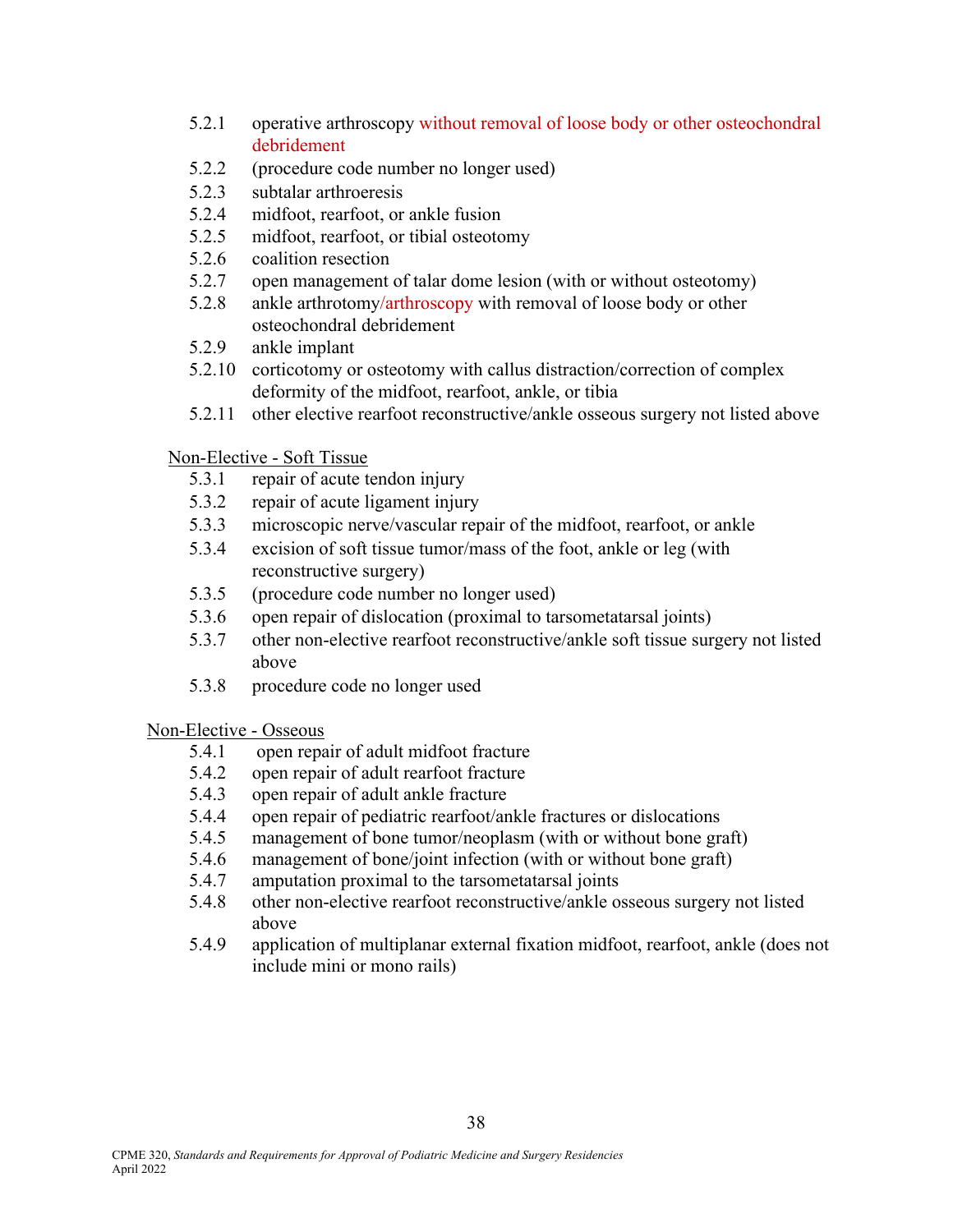- 5.2.1 operative arthroscopy without removal of loose body or other osteochondral debridement
- 5.2.2 (procedure code number no longer used)
- 5.2.3 subtalar arthroeresis
- 5.2.4 midfoot, rearfoot, or ankle fusion
- 5.2.5 midfoot, rearfoot, or tibial osteotomy
- 5.2.6 coalition resection
- 5.2.7 open management of talar dome lesion (with or without osteotomy)
- 5.2.8 ankle arthrotomy/arthroscopy with removal of loose body or other osteochondral debridement
- 5.2.9 ankle implant
- 5.2.10 corticotomy or osteotomy with callus distraction/correction of complex deformity of the midfoot, rearfoot, ankle, or tibia
- 5.2.11 other elective rearfoot reconstructive/ankle osseous surgery not listed above

### Non-Elective - Soft Tissue

- 5.3.1 repair of acute tendon injury
- 5.3.2 repair of acute ligament injury
- 5.3.3 microscopic nerve/vascular repair of the midfoot, rearfoot, or ankle
- 5.3.4 excision of soft tissue tumor/mass of the foot, ankle or leg (with reconstructive surgery)
- 5.3.5 (procedure code number no longer used)
- 5.3.6 open repair of dislocation (proximal to tarsometatarsal joints)
- 5.3.7 other non-elective rearfoot reconstructive/ankle soft tissue surgery not listed above
- 5.3.8 procedure code no longer used

### Non-Elective - Osseous

- 5.4.1 open repair of adult midfoot fracture
- 5.4.2 open repair of adult rearfoot fracture
- 5.4.3 open repair of adult ankle fracture
- 5.4.4 open repair of pediatric rearfoot/ankle fractures or dislocations
- 5.4.5 management of bone tumor/neoplasm (with or without bone graft)
- 5.4.6 management of bone/joint infection (with or without bone graft)
- 5.4.7 amputation proximal to the tarsometatarsal joints
- 5.4.8 other non-elective rearfoot reconstructive/ankle osseous surgery not listed above
- 5.4.9 application of multiplanar external fixation midfoot, rearfoot, ankle (does not include mini or mono rails)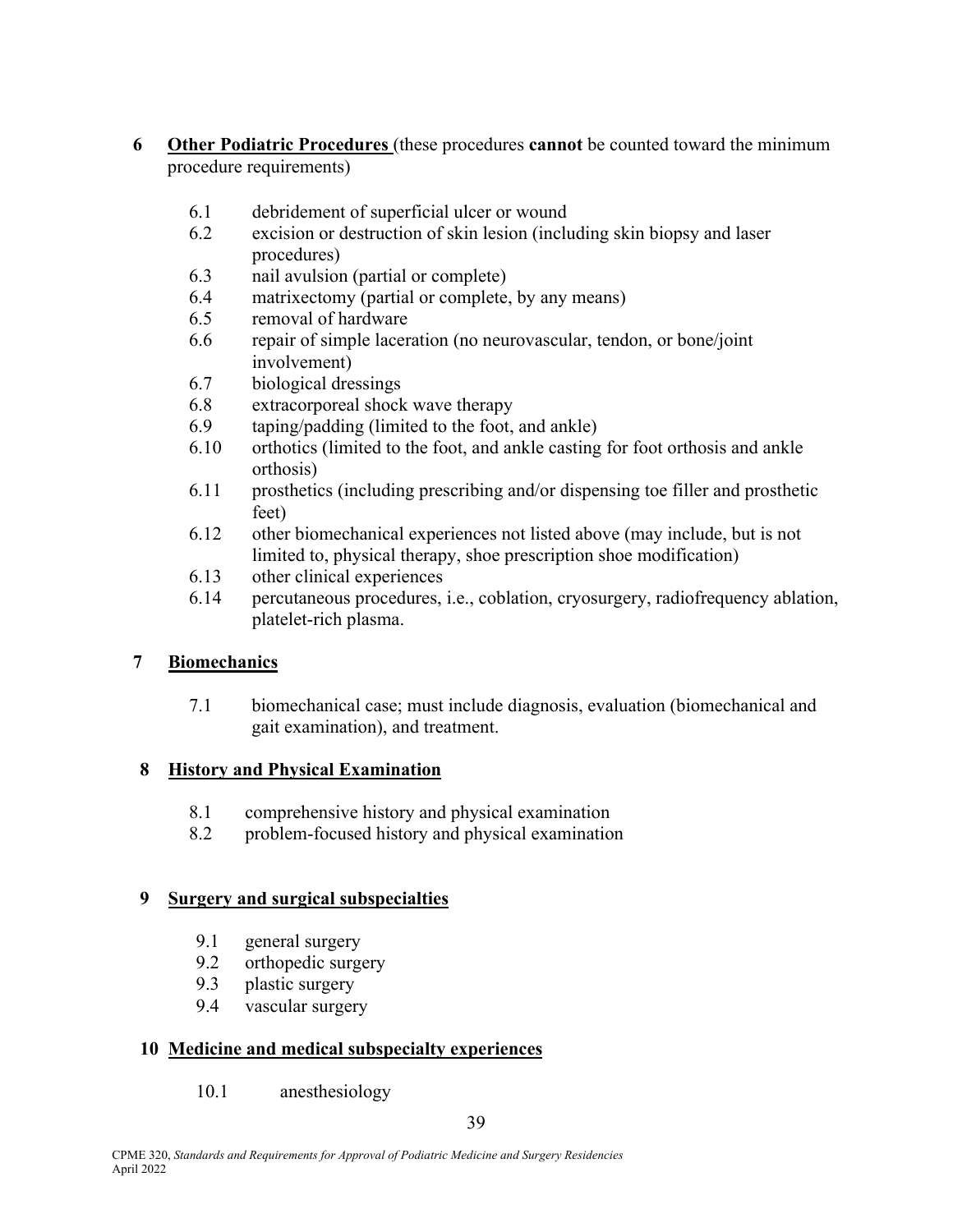- **6 Other Podiatric Procedures** (these procedures **cannot** be counted toward the minimum procedure requirements)
	- 6.1 debridement of superficial ulcer or wound
	- 6.2 excision or destruction of skin lesion (including skin biopsy and laser procedures)
	- 6.3 nail avulsion (partial or complete)
	- 6.4 matrixectomy (partial or complete, by any means)
	- 6.5 removal of hardware
	- 6.6 repair of simple laceration (no neurovascular, tendon, or bone/joint involvement)
	- 6.7 biological dressings
	- 6.8 extracorporeal shock wave therapy
	- 6.9 taping/padding (limited to the foot, and ankle)
	- 6.10 orthotics (limited to the foot, and ankle casting for foot orthosis and ankle orthosis)
	- 6.11 prosthetics (including prescribing and/or dispensing toe filler and prosthetic feet)
	- 6.12 other biomechanical experiences not listed above (may include, but is not limited to, physical therapy, shoe prescription shoe modification)
	- 6.13 other clinical experiences
	- 6.14 percutaneous procedures, i.e., coblation, cryosurgery, radiofrequency ablation, platelet-rich plasma.

### **7 Biomechanics**

7.1 biomechanical case; must include diagnosis, evaluation (biomechanical and gait examination), and treatment.

### **8 History and Physical Examination**

- 8.1 comprehensive history and physical examination
- 8.2 problem-focused history and physical examination

### **9 Surgery and surgical subspecialties**

- 9.1 general surgery
- 9.2 orthopedic surgery
- 9.3 plastic surgery
- 9.4 vascular surgery

### **10 Medicine and medical subspecialty experiences**

10.1 anesthesiology